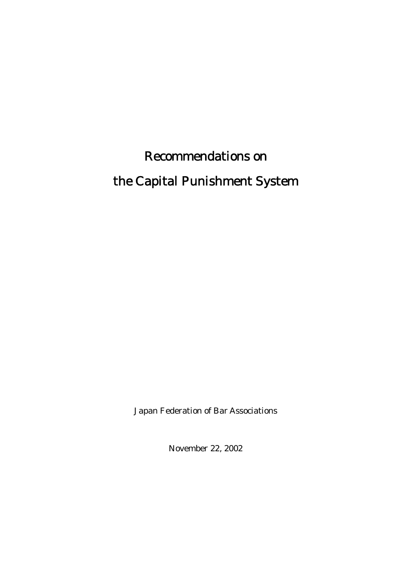Recommendations on the Capital Punishment System

Japan Federation of Bar Associations

November 22, 2002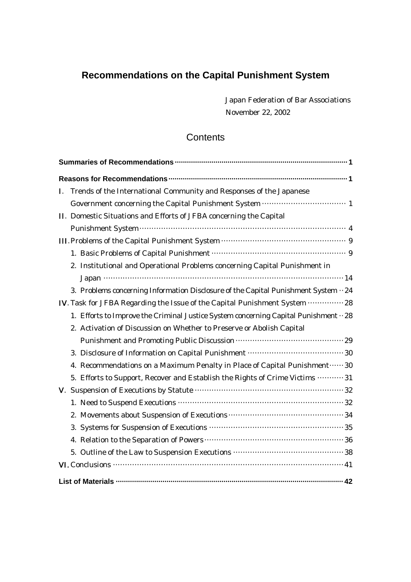# **Recommendations on the Capital Punishment System**

Japan Federation of Bar Associations November 22, 2002

# **Contents**

| I. | Trends of the International Community and Responses of the Japanese                  |
|----|--------------------------------------------------------------------------------------|
|    |                                                                                      |
|    | II. Domestic Situations and Efforts of JFBA concerning the Capital                   |
|    |                                                                                      |
|    |                                                                                      |
|    |                                                                                      |
|    | 2. Institutional and Operational Problems concerning Capital Punishment in           |
|    |                                                                                      |
|    | 3. Problems concerning Information Disclosure of the Capital Punishment System 24    |
|    | IV. Task for JFBA Regarding the Issue of the Capital Punishment System  28           |
|    | 1. Efforts to Improve the Criminal Justice System concerning Capital Punishment · 28 |
|    | 2. Activation of Discussion on Whether to Preserve or Abolish Capital                |
|    |                                                                                      |
|    |                                                                                      |
|    | 4. Recommendations on a Maximum Penalty in Place of Capital Punishment  30           |
|    | 5. Efforts to Support, Recover and Establish the Rights of Crime Victims  31         |
|    |                                                                                      |
|    |                                                                                      |
|    |                                                                                      |
|    |                                                                                      |
|    |                                                                                      |
|    |                                                                                      |
|    |                                                                                      |
|    |                                                                                      |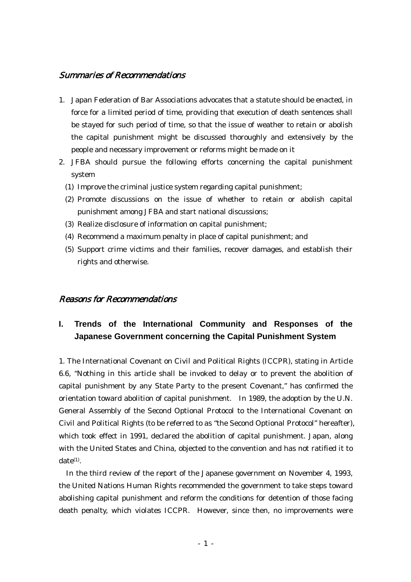## Summaries of Recommendations

- 1. Japan Federation of Bar Associations advocates that a statute should be enacted, in force for a limited period of time, providing that execution of death sentences shall be stayed for such period of time, so that the issue of weather to retain or abolish the capital punishment might be discussed thoroughly and extensively by the people and necessary improvement or reforms might be made on it
- 2. JFBA should pursue the following efforts concerning the capital punishment system
	- (1) Improve the criminal justice system regarding capital punishment;
	- (2) Promote discussions on the issue of whether to retain or abolish capital punishment among JFBA and start national discussions;
	- (3) Realize disclosure of information on capital punishment;
	- (4) Recommend a maximum penalty in place of capital punishment; and
	- (5) Support crime victims and their families, recover damages, and establish their rights and otherwise.

## Reasons for Recommendations

# **I. Trends of the International Community and Responses of the Japanese Government concerning the Capital Punishment System**

1. The International Covenant on Civil and Political Rights (ICCPR), stating in Article 6.6, "Nothing in this article shall be invoked to delay or to prevent the abolition of capital punishment by any State Party to the present Covenant," has confirmed the orientation toward abolition of capital punishment. In 1989, the adoption by the U.N. General Assembly of the Second Optional Protocol to the International Covenant on Civil and Political Rights (to be referred to as "the Second Optional Protocol" hereafter), which took effect in 1991, declared the abolition of capital punishment. Japan, along with the United States and China, objected to the convention and has not ratified it to  $date^{(1)}$ .

In the third review of the report of the Japanese government on November 4, 1993, the United Nations Human Rights recommended the government to take steps toward abolishing capital punishment and reform the conditions for detention of those facing death penalty, which violates ICCPR. However, since then, no improvements were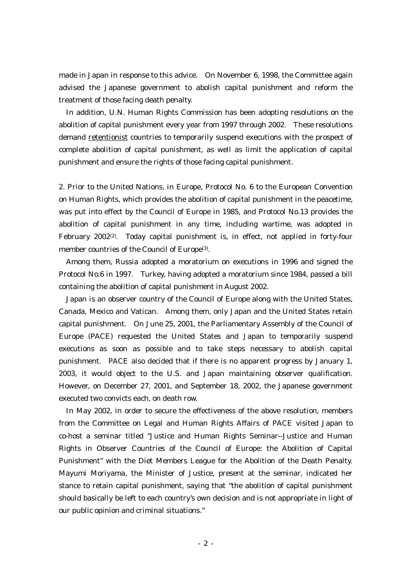made in Japan in response to this advice. On November 6, 1998, the Committee again advised the Japanese government to abolish capital punishment and reform the treatment of those facing death penalty.

In addition, U.N. Human Rights Commission has been adopting resolutions on the abolition of capital punishment every year from 1997 through 2002. These resolutions demand retentionist countries to temporarily suspend executions with the prospect of complete abolition of capital punishment, as well as limit the application of capital punishment and ensure the rights of those facing capital punishment.

2. Prior to the United Nations, in Europe, Protocol No. 6 to the European Convention on Human Rights, which provides the abolition of capital punishment in the peacetime, was put into effect by the Council of Europe in 1985, and Protocol No.13 provides the abolition of capital punishment in any time, including wartime, was adopted in February 2002<sup>(2)</sup>. Today capital punishment is, in effect, not applied in forty-four member countries of the Council of Europe<sup>(3)</sup>.

Among them, Russia adopted a moratorium on executions in 1996 and signed the Protocol No.6 in 1997. Turkey, having adopted a moratorium since 1984, passed a bill containing the abolition of capital punishment in August 2002.

Japan is an observer country of the Council of Europe along with the United States, Canada, Mexico and Vatican. Among them, only Japan and the United States retain capital punishment. On June 25, 2001, the Parliamentary Assembly of the Council of Europe (PACE) requested the United States and Japan to temporarily suspend executions as soon as possible and to take steps necessary to abolish capital punishment. PACE also decided that if there is no apparent progress by January 1, 2003, it would object to the U.S. and Japan maintaining observer qualification. However, on December 27, 2001, and September 18, 2002, the Japanese government executed two convicts each, on death row.

In May 2002, in order to secure the effectiveness of the above resolution, members from the Committee on Legal and Human Rights Affairs of PACE visited Japan to co-host a seminar titled "Justice and Human Rights Seminar--Justice and Human Rights in Observer Countries of the Council of Europe: the Abolition of Capital Punishment" with the Diet Members League for the Abolition of the Death Penalty. Mayumi Moriyama, the Minister of Justice, present at the seminar, indicated her stance to retain capital punishment, saying that "the abolition of capital punishment should basically be left to each country's own decision and is not appropriate in light of our public opinion and criminal situations."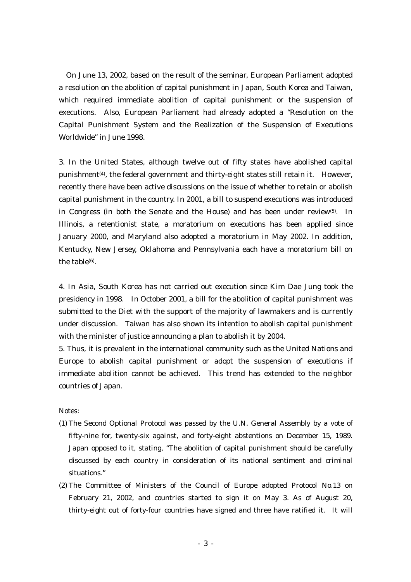On June 13, 2002, based on the result of the seminar, European Parliament adopted a resolution on the abolition of capital punishment in Japan, South Korea and Taiwan, which required immediate abolition of capital punishment or the suspension of executions. Also, European Parliament had already adopted a "Resolution on the Capital Punishment System and the Realization of the Suspension of Executions Worldwide" in June 1998.

3. In the United States, although twelve out of fifty states have abolished capital punishment<sup>(4)</sup>, the federal government and thirty-eight states still retain it. However, recently there have been active discussions on the issue of whether to retain or abolish capital punishment in the country. In 2001, a bill to suspend executions was introduced in Congress (in both the Senate and the House) and has been under review<sup>(5)</sup>. In Illinois, a retentionist state, a moratorium on executions has been applied since January 2000, and Maryland also adopted a moratorium in May 2002. In addition, Kentucky, New Jersey, Oklahoma and Pennsylvania each have a moratorium bill on the table $(6)$ .

4. In Asia, South Korea has not carried out execution since Kim Dae Jung took the presidency in 1998. In October 2001, a bill for the abolition of capital punishment was submitted to the Diet with the support of the majority of lawmakers and is currently under discussion. Taiwan has also shown its intention to abolish capital punishment with the minister of justice announcing a plan to abolish it by 2004.

5. Thus, it is prevalent in the international community such as the United Nations and Europe to abolish capital punishment or adopt the suspension of executions if immediate abolition cannot be achieved. This trend has extended to the neighbor countries of Japan.

Notes:

- (1) The Second Optional Protocol was passed by the U.N. General Assembly by a vote of fifty-nine for, twenty-six against, and forty-eight abstentions on December 15, 1989. Japan opposed to it, stating, "The abolition of capital punishment should be carefully discussed by each country in consideration of its national sentiment and criminal situations."
- (2) The Committee of Ministers of the Council of Europe adopted Protocol No.13 on February 21, 2002, and countries started to sign it on May 3. As of August 20, thirty-eight out of forty-four countries have signed and three have ratified it. It will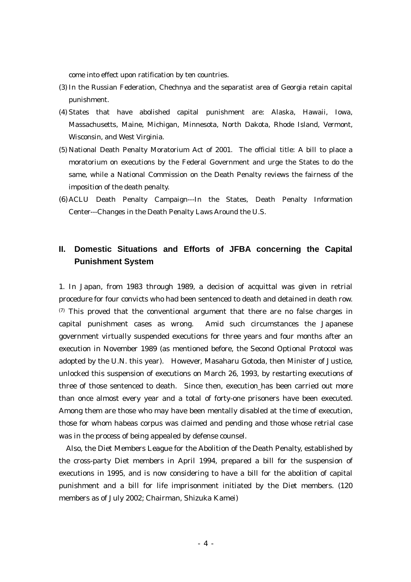come into effect upon ratification by ten countries.

- (3) In the Russian Federation, Chechnya and the separatist area of Georgia retain capital punishment.
- (4) States that have abolished capital punishment are: Alaska, Hawaii, Iowa, Massachusetts, Maine, Michigan, Minnesota, North Dakota, Rhode Island, Vermont, Wisconsin, and West Virginia.
- (5) National Death Penalty Moratorium Act of 2001. The official title: A bill to place a moratorium on executions by the Federal Government and urge the States to do the same, while a National Commission on the Death Penalty reviews the fairness of the imposition of the death penalty.
- (6) ACLU Death Penalty Campaign---In the States, Death Penalty Information Center---Changes in the Death Penalty Laws Around the U.S.

# **II. Domestic Situations and Efforts of JFBA concerning the Capital Punishment System**

1. In Japan, from 1983 through 1989, a decision of acquittal was given in retrial procedure for four convicts who had been sentenced to death and detained in death row. (7) This proved that the conventional argument that there are no false charges in capital punishment cases as wrong. Amid such circumstances the Japanese government virtually suspended executions for three years and four months after an execution in November 1989 (as mentioned before, the Second Optional Protocol was adopted by the U.N. this year). However, Masaharu Gotoda, then Minister of Justice, unlocked this suspension of executions on March 26, 1993, by restarting executions of three of those sentenced to death. Since then, execution has been carried out more than once almost every year and a total of forty-one prisoners have been executed. Among them are those who may have been mentally disabled at the time of execution, those for whom habeas corpus was claimed and pending and those whose retrial case was in the process of being appealed by defense counsel.

Also, the Diet Members League for the Abolition of the Death Penalty, established by the cross-party Diet members in April 1994, prepared a bill for the suspension of executions in 1995, and is now considering to have a bill for the abolition of capital punishment and a bill for life imprisonment initiated by the Diet members. (120 members as of July 2002; Chairman, Shizuka Kamei)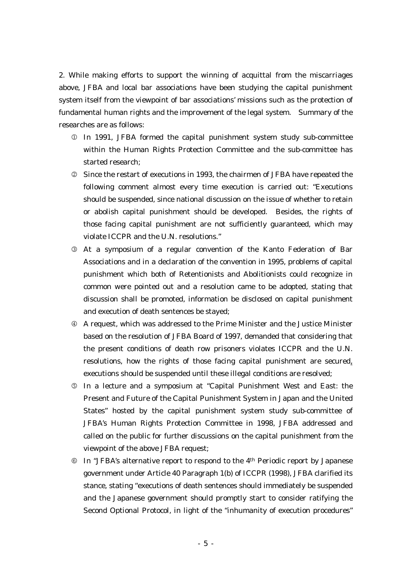2. While making efforts to support the winning of acquittal from the miscarriages above, JFBA and local bar associations have been studying the capital punishment system itself from the viewpoint of bar associations' missions such as the protection of fundamental human rights and the improvement of the legal system. Summary of the researches are as follows:

- 1 In 1991, JFBA formed the capital punishment system study sub-committee within the Human Rights Protection Committee and the sub-committee has started research;
- 2 Since the restart of executions in 1993, the chairmen of JFBA have repeated the following comment almost every time execution is carried out: "Executions should be suspended, since national discussion on the issue of whether to retain or abolish capital punishment should be developed. Besides, the rights of those facing capital punishment are not sufficiently guaranteed, which may violate ICCPR and the U.N. resolutions."
- 3 At a symposium of a regular convention of the Kanto Federation of Bar Associations and in a declaration of the convention in 1995, problems of capital punishment which both of Retentionists and Abolitionists could recognize in common were pointed out and a resolution came to be adopted, stating that discussion shall be promoted, information be disclosed on capital punishment and execution of death sentences be stayed;
- 4 A request, which was addressed to the Prime Minister and the Justice Minister based on the resolution of JFBA Board of 1997, demanded that considering that the present conditions of death row prisoners violates ICCPR and the U.N. resolutions, how the rights of those facing capital punishment are secured, executions should be suspended until these illegal conditions are resolved;
- 5 In a lecture and a symposium at "Capital Punishment West and East: the Present and Future of the Capital Punishment System in Japan and the United States" hosted by the capital punishment system study sub-committee of JFBA's Human Rights Protection Committee in 1998, JFBA addressed and called on the public for further discussions on the capital punishment from the viewpoint of the above JFBA request;
- $\circled{b}$  In "JFBA's alternative report to respond to the 4<sup>th</sup> Periodic report by Japanese government under Article 40 Paragraph 1(b) of ICCPR (1998), JFBA clarified its stance, stating "executions of death sentences should immediately be suspended and the Japanese government should promptly start to consider ratifying the Second Optional Protocol, in light of the "inhumanity of execution procedures"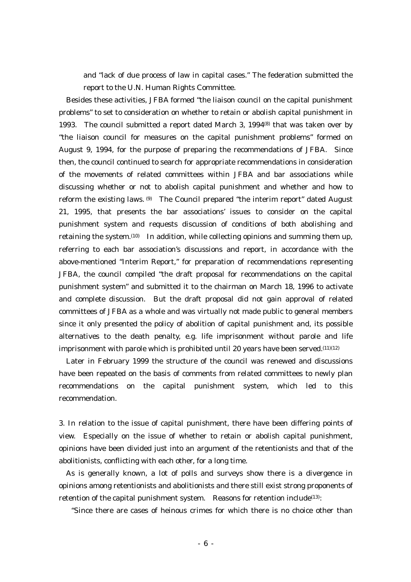and "lack of due process of law in capital cases." The federation submitted the report to the U.N. Human Rights Committee.

Besides these activities, JFBA formed "the liaison council on the capital punishment problems" to set to consideration on whether to retain or abolish capital punishment in 1993. The council submitted a report dated March 3, 1994 $(8)$  that was taken over by "the liaison council for measures on the capital punishment problems" formed on August 9, 1994, for the purpose of preparing the recommendations of JFBA. Since then, the council continued to search for appropriate recommendations in consideration of the movements of related committees within JFBA and bar associations while discussing whether or not to abolish capital punishment and whether and how to reform the existing laws. (9) The Council prepared "the interim report" dated August 21, 1995, that presents the bar associations' issues to consider on the capital punishment system and requests discussion of conditions of both abolishing and retaining the system.(10) In addition, while collecting opinions and summing them up, referring to each bar association's discussions and report, in accordance with the above-mentioned "Interim Report," for preparation of recommendations representing JFBA, the council compiled "the draft proposal for recommendations on the capital punishment system" and submitted it to the chairman on March 18, 1996 to activate and complete discussion. But the draft proposal did not gain approval of related committees of JFBA as a whole and was virtually not made public to general members since it only presented the policy of abolition of capital punishment and, its possible alternatives to the death penalty, e.g. life imprisonment without parole and life imprisonment with parole which is prohibited until 20 years have been served. $(11)(12)$ 

Later in February 1999 the structure of the council was renewed and discussions have been repeated on the basis of comments from related committees to newly plan recommendations on the capital punishment system, which led to this recommendation.

3. In relation to the issue of capital punishment, there have been differing points of view. Especially on the issue of whether to retain or abolish capital punishment, opinions have been divided just into an argument of the retentionists and that of the abolitionists, conflicting with each other, for a long time.

As is generally known, a lot of polls and surveys show there is a divergence in opinions among retentionists and abolitionists and there still exist strong proponents of retention of the capital punishment system. Reasons for retention include $(13)$ :

"Since there are cases of heinous crimes for which there is no choice other than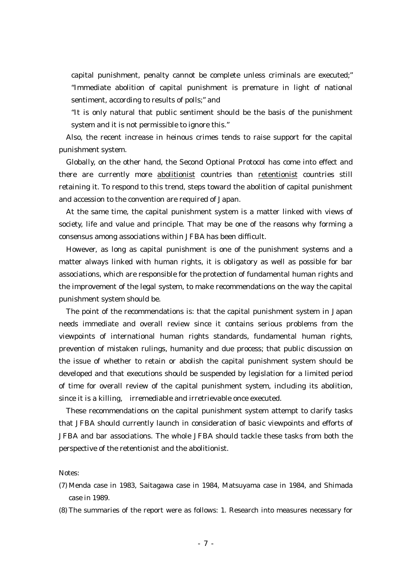capital punishment, penalty cannot be complete unless criminals are executed;" "Immediate abolition of capital punishment is premature in light of national sentiment, according to results of polls;" and

"It is only natural that public sentiment should be the basis of the punishment system and it is not permissible to ignore this."

Also, the recent increase in heinous crimes tends to raise support for the capital punishment system.

Globally, on the other hand, the Second Optional Protocol has come into effect and there are currently more abolitionist countries than retentionist countries still retaining it. To respond to this trend, steps toward the abolition of capital punishment and accession to the convention are required of Japan.

At the same time, the capital punishment system is a matter linked with views of society, life and value and principle. That may be one of the reasons why forming a consensus among associations within JFBA has been difficult.

However, as long as capital punishment is one of the punishment systems and a matter always linked with human rights, it is obligatory as well as possible for bar associations, which are responsible for the protection of fundamental human rights and the improvement of the legal system, to make recommendations on the way the capital punishment system should be.

The point of the recommendations is: that the capital punishment system in Japan needs immediate and overall review since it contains serious problems from the viewpoints of international human rights standards, fundamental human rights, prevention of mistaken rulings, humanity and due process; that public discussion on the issue of whether to retain or abolish the capital punishment system should be developed and that executions should be suspended by legislation for a limited period of time for overall review of the capital punishment system, including its abolition, since it is a killing, irremediable and irretrievable once executed.

These recommendations on the capital punishment system attempt to clarify tasks that JFBA should currently launch in consideration of basic viewpoints and efforts of JFBA and bar associations. The whole JFBA should tackle these tasks from both the perspective of the retentionist and the abolitionist.

Notes:

- (7) Menda case in 1983, Saitagawa case in 1984, Matsuyama case in 1984, and Shimada case in 1989.
- (8) The summaries of the report were as follows: 1. Research into measures necessary for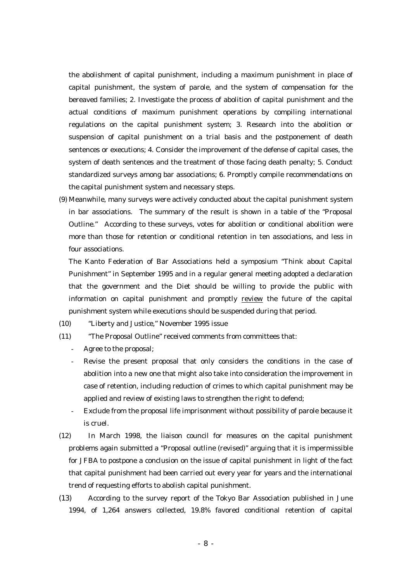the abolishment of capital punishment, including a maximum punishment in place of capital punishment, the system of parole, and the system of compensation for the bereaved families; 2. Investigate the process of abolition of capital punishment and the actual conditions of maximum punishment operations by compiling international regulations on the capital punishment system; 3. Research into the abolition or suspension of capital punishment on a trial basis and the postponement of death sentences or executions; 4. Consider the improvement of the defense of capital cases, the system of death sentences and the treatment of those facing death penalty; 5. Conduct standardized surveys among bar associations; 6. Promptly compile recommendations on the capital punishment system and necessary steps.

(9) Meanwhile, many surveys were actively conducted about the capital punishment system in bar associations. The summary of the result is shown in a table of the "Proposal Outline." According to these surveys, votes for abolition or conditional abolition were more than those for retention or conditional retention in ten associations, and less in four associations.

The Kanto Federation of Bar Associations held a symposium "Think about Capital Punishment" in September 1995 and in a regular general meeting adopted a declaration that the government and the Diet should be willing to provide the public with information on capital punishment and promptly review the future of the capital punishment system while executions should be suspended during that period.

- (10) "Liberty and Justice," November 1995 issue
- (11) "The Proposal Outline" received comments from committees that:
	- Agree to the proposal;
	- Revise the present proposal that only considers the conditions in the case of abolition into a new one that might also take into consideration the improvement in case of retention, including reduction of crimes to which capital punishment may be applied and review of existing laws to strengthen the right to defend;
	- Exclude from the proposal life imprisonment without possibility of parole because it is cruel.
- (12) In March 1998, the liaison council for measures on the capital punishment problems again submitted a "Proposal outline (revised)" arguing that it is impermissible for JFBA to postpone a conclusion on the issue of capital punishment in light of the fact that capital punishment had been carried out every year for years and the international trend of requesting efforts to abolish capital punishment.
- (13) According to the survey report of the Tokyo Bar Association published in June 1994, of 1,264 answers collected, 19.8% favored conditional retention of capital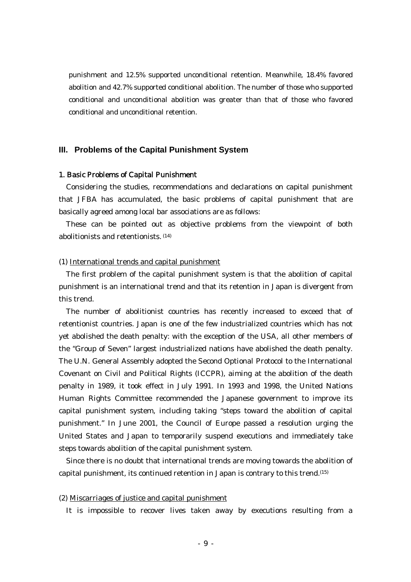punishment and 12.5% supported unconditional retention. Meanwhile, 18.4% favored abolition and 42.7% supported conditional abolition. The number of those who supported conditional and unconditional abolition was greater than that of those who favored conditional and unconditional retention.

## **III. Problems of the Capital Punishment System**

#### 1. Basic Problems of Capital Punishment

Considering the studies, recommendations and declarations on capital punishment that JFBA has accumulated, the basic problems of capital punishment that are basically agreed among local bar associations are as follows:

These can be pointed out as objective problems from the viewpoint of both abolitionists and retentionists. (14)

#### (1) International trends and capital punishment

The first problem of the capital punishment system is that the abolition of capital punishment is an international trend and that its retention in Japan is divergent from this trend.

The number of abolitionist countries has recently increased to exceed that of retentionist countries. Japan is one of the few industrialized countries which has not yet abolished the death penalty: with the exception of the USA, all other members of the "Group of Seven" largest industrialized nations have abolished the death penalty. The U.N. General Assembly adopted the Second Optional Protocol to the International Covenant on Civil and Political Rights (ICCPR), aiming at the abolition of the death penalty in 1989, it took effect in July 1991. In 1993 and 1998, the United Nations Human Rights Committee recommended the Japanese government to improve its capital punishment system, including taking "steps toward the abolition of capital punishment." In June 2001, the Council of Europe passed a resolution urging the United States and Japan to temporarily suspend executions and immediately take steps towards abolition of the capital punishment system.

Since there is no doubt that international trends are moving towards the abolition of capital punishment, its continued retention in Japan is contrary to this trend.(15)

#### (2) Miscarriages of justice and capital punishment

It is impossible to recover lives taken away by executions resulting from a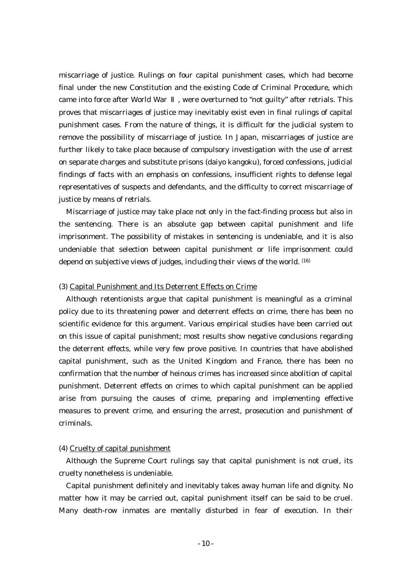miscarriage of justice. Rulings on four capital punishment cases, which had become final under the new Constitution and the existing Code of Criminal Procedure, which came into force after World War , were overturned to "not guilty" after retrials. This proves that miscarriages of justice may inevitably exist even in final rulings of capital punishment cases. From the nature of things, it is difficult for the judicial system to remove the possibility of miscarriage of justice. In Japan, miscarriages of justice are further likely to take place because of compulsory investigation with the use of arrest on separate charges and substitute prisons (daiyo kangoku), forced confessions, judicial findings of facts with an emphasis on confessions, insufficient rights to defense legal representatives of suspects and defendants, and the difficulty to correct miscarriage of justice by means of retrials.

Miscarriage of justice may take place not only in the fact-finding process but also in the sentencing. There is an absolute gap between capital punishment and life imprisonment. The possibility of mistakes in sentencing is undeniable, and it is also undeniable that selection between capital punishment or life imprisonment could depend on subjective views of judges, including their views of the world. (16)

## (3) Capital Punishment and Its Deterrent Effects on Crime

Although retentionists argue that capital punishment is meaningful as a criminal policy due to its threatening power and deterrent effects on crime, there has been no scientific evidence for this argument. Various empirical studies have been carried out on this issue of capital punishment; most results show negative conclusions regarding the deterrent effects, while very few prove positive. In countries that have abolished capital punishment, such as the United Kingdom and France, there has been no confirmation that the number of heinous crimes has increased since abolition of capital punishment. Deterrent effects on crimes to which capital punishment can be applied arise from pursuing the causes of crime, preparing and implementing effective measures to prevent crime, and ensuring the arrest, prosecution and punishment of criminals.

## (4) Cruelty of capital punishment

Although the Supreme Court rulings say that capital punishment is not cruel, its cruelty nonetheless is undeniable.

Capital punishment definitely and inevitably takes away human life and dignity. No matter how it may be carried out, capital punishment itself can be said to be cruel. Many death-row inmates are mentally disturbed in fear of execution. In their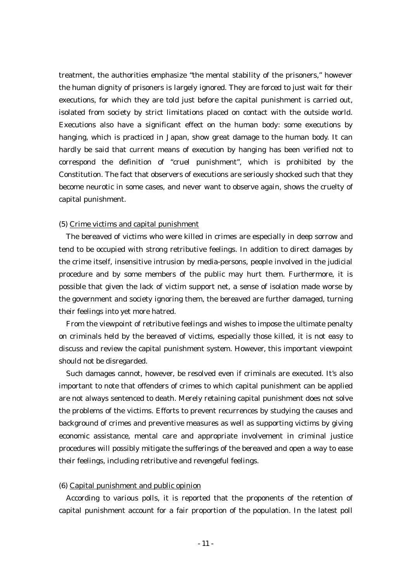treatment, the authorities emphasize "the mental stability of the prisoners," however the human dignity of prisoners is largely ignored. They are forced to just wait for their executions, for which they are told just before the capital punishment is carried out, isolated from society by strict limitations placed on contact with the outside world. Executions also have a significant effect on the human body: some executions by hanging, which is practiced in Japan, show great damage to the human body. It can hardly be said that current means of execution by hanging has been verified not to correspond the definition of "cruel punishment", which is prohibited by the Constitution. The fact that observers of executions are seriously shocked such that they become neurotic in some cases, and never want to observe again, shows the cruelty of capital punishment.

## (5) Crime victims and capital punishment

The bereaved of victims who were killed in crimes are especially in deep sorrow and tend to be occupied with strong retributive feelings. In addition to direct damages by the crime itself, insensitive intrusion by media-persons, people involved in the judicial procedure and by some members of the public may hurt them. Furthermore, it is possible that given the lack of victim support net, a sense of isolation made worse by the government and society ignoring them, the bereaved are further damaged, turning their feelings into yet more hatred.

From the viewpoint of retributive feelings and wishes to impose the ultimate penalty on criminals held by the bereaved of victims, especially those killed, it is not easy to discuss and review the capital punishment system. However, this important viewpoint should not be disregarded.

Such damages cannot, however, be resolved even if criminals are executed. It's also important to note that offenders of crimes to which capital punishment can be applied are not always sentenced to death. Merely retaining capital punishment does not solve the problems of the victims. Efforts to prevent recurrences by studying the causes and background of crimes and preventive measures as well as supporting victims by giving economic assistance, mental care and appropriate involvement in criminal justice procedures will possibly mitigate the sufferings of the bereaved and open a way to ease their feelings, including retributive and revengeful feelings.

#### (6) Capital punishment and public opinion

According to various polls, it is reported that the proponents of the retention of capital punishment account for a fair proportion of the population. In the latest poll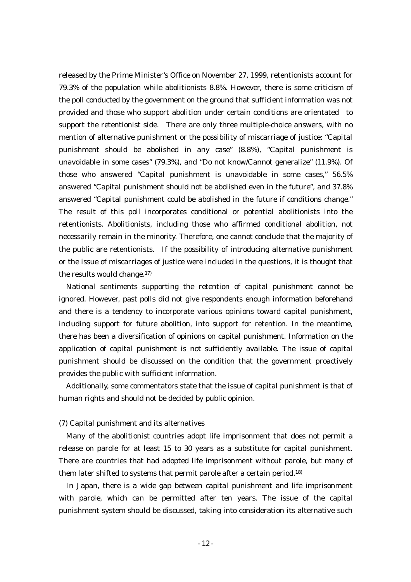released by the Prime Minister's Office on November 27, 1999, retentionists account for 79.3% of the population while abolitionists 8.8%. However, there is some criticism of the poll conducted by the government on the ground that sufficient information was not provided and those who support abolition under certain conditions are orientated to support the retentionist side. There are only three multiple-choice answers, with no mention of alternative punishment or the possibility of miscarriage of justice: "Capital punishment should be abolished in any case" (8.8%), "Capital punishment is unavoidable in some cases" (79.3%), and "Do not know/Cannot generalize" (11.9%). Of those who answered "Capital punishment is unavoidable in some cases," 56.5% answered "Capital punishment should not be abolished even in the future", and 37.8% answered "Capital punishment could be abolished in the future if conditions change." The result of this poll incorporates conditional or potential abolitionists into the retentionists. Abolitionists, including those who affirmed conditional abolition, not necessarily remain in the minority. Therefore, one cannot conclude that the majority of the public are retentionists. If the possibility of introducing alternative punishment or the issue of miscarriages of justice were included in the questions, it is thought that the results would change.17)

National sentiments supporting the retention of capital punishment cannot be ignored. However, past polls did not give respondents enough information beforehand and there is a tendency to incorporate various opinions toward capital punishment, including support for future abolition, into support for retention. In the meantime, there has been a diversification of opinions on capital punishment. Information on the application of capital punishment is not sufficiently available. The issue of capital punishment should be discussed on the condition that the government proactively provides the public with sufficient information.

Additionally, some commentators state that the issue of capital punishment is that of human rights and should not be decided by public opinion.

## (7) Capital punishment and its alternatives

Many of the abolitionist countries adopt life imprisonment that does not permit a release on parole for at least 15 to 30 years as a substitute for capital punishment. There are countries that had adopted life imprisonment without parole, but many of them later shifted to systems that permit parole after a certain period.18)

In Japan, there is a wide gap between capital punishment and life imprisonment with parole, which can be permitted after ten years. The issue of the capital punishment system should be discussed, taking into consideration its alternative such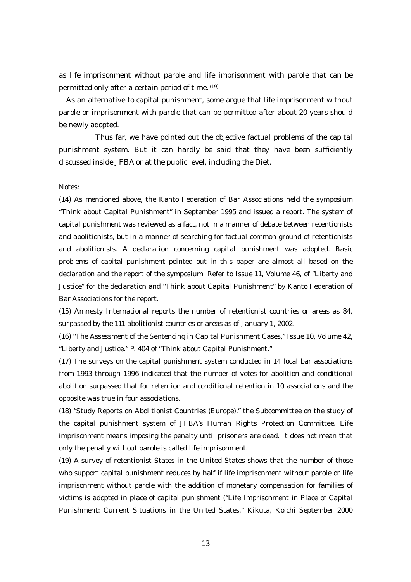as life imprisonment without parole and life imprisonment with parole that can be permitted only after a certain period of time. (19)

As an alternative to capital punishment, some argue that life imprisonment without parole or imprisonment with parole that can be permitted after about 20 years should be newly adopted.

 Thus far, we have pointed out the objective factual problems of the capital punishment system. But it can hardly be said that they have been sufficiently discussed inside JFBA or at the public level, including the Diet.

### Notes:

(14) As mentioned above, the Kanto Federation of Bar Associations held the symposium "Think about Capital Punishment" in September 1995 and issued a report. The system of capital punishment was reviewed as a fact, not in a manner of debate between retentionists and abolitionists, but in a manner of searching for factual common ground of retentionists and abolitionists. A declaration concerning capital punishment was adopted. Basic problems of capital punishment pointed out in this paper are almost all based on the declaration and the report of the symposium. Refer to Issue 11, Volume 46, of "Liberty and Justice" for the declaration and "Think about Capital Punishment" by Kanto Federation of Bar Associations for the report.

(15) Amnesty International reports the number of retentionist countries or areas as 84, surpassed by the 111 abolitionist countries or areas as of January 1, 2002.

(16) "The Assessment of the Sentencing in Capital Punishment Cases," Issue 10, Volume 42, "Liberty and Justice." P. 404 of "Think about Capital Punishment."

(17) The surveys on the capital punishment system conducted in 14 local bar associations from 1993 through 1996 indicated that the number of votes for abolition and conditional abolition surpassed that for retention and conditional retention in 10 associations and the opposite was true in four associations.

(18) "Study Reports on Abolitionist Countries (Europe)," the Subcommittee on the study of the capital punishment system of JFBA's Human Rights Protection Committee. Life imprisonment means imposing the penalty until prisoners are dead. It does not mean that only the penalty without parole is called life imprisonment.

(19) A survey of retentionist States in the United States shows that the number of those who support capital punishment reduces by half if life imprisonment without parole or life imprisonment without parole with the addition of monetary compensation for families of victims is adopted in place of capital punishment ("Life Imprisonment in Place of Capital Punishment: Current Situations in the United States," Kikuta, Koichi September 2000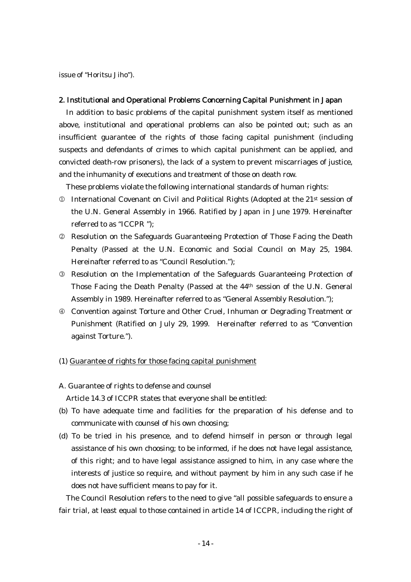issue of "Horitsu Jiho").

## 2. Institutional and Operational Problems Concerning Capital Punishment in Japan

In addition to basic problems of the capital punishment system itself as mentioned above, institutional and operational problems can also be pointed out; such as an insufficient guarantee of the rights of those facing capital punishment (including suspects and defendants of crimes to which capital punishment can be applied, and convicted death-row prisoners), the lack of a system to prevent miscarriages of justice, and the inhumanity of executions and treatment of those on death row.

These problems violate the following international standards of human rights:

- 1 International Covenant on Civil and Political Rights (Adopted at the 21st session of the U.N. General Assembly in 1966. Ratified by Japan in June 1979. Hereinafter referred to as "ICCPR ");
- 2 Resolution on the Safeguards Guaranteeing Protection of Those Facing the Death Penalty (Passed at the U.N. Economic and Social Council on May 25, 1984. Hereinafter referred to as "Council Resolution.");
- 3 Resolution on the Implementation of the Safeguards Guaranteeing Protection of Those Facing the Death Penalty (Passed at the 44th session of the U.N. General Assembly in 1989. Hereinafter referred to as "General Assembly Resolution.");
- 4 Convention against Torture and Other Cruel, Inhuman or Degrading Treatment or Punishment (Ratified on July 29, 1999. Hereinafter referred to as "Convention against Torture.").

## (1) Guarantee of rights for those facing capital punishment

#### A. Guarantee of rights to defense and counsel

Article 14.3 of ICCPR states that everyone shall be entitled:

- (b) To have adequate time and facilities for the preparation of his defense and to communicate with counsel of his own choosing;
- (d) To be tried in his presence, and to defend himself in person or through legal assistance of his own choosing; to be informed, if he does not have legal assistance, of this right; and to have legal assistance assigned to him, in any case where the interests of justice so require, and without payment by him in any such case if he does not have sufficient means to pay for it.

The Council Resolution refers to the need to give "all possible safeguards to ensure a fair trial, at least equal to those contained in article 14 of ICCPR, including the right of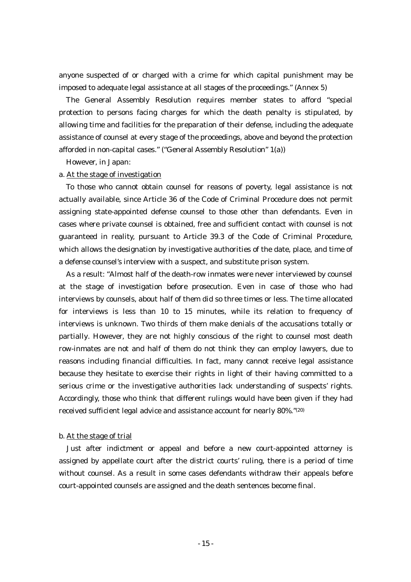anyone suspected of or charged with a crime for which capital punishment may be imposed to adequate legal assistance at all stages of the proceedings." (Annex 5)

The General Assembly Resolution requires member states to afford "special protection to persons facing charges for which the death penalty is stipulated, by allowing time and facilities for the preparation of their defense, including the adequate assistance of counsel at every stage of the proceedings, above and beyond the protection afforded in non-capital cases." ("General Assembly Resolution" 1(a))

However, in Japan:

### a. At the stage of investigation

To those who cannot obtain counsel for reasons of poverty, legal assistance is not actually available, since Article 36 of the Code of Criminal Procedure does not permit assigning state-appointed defense counsel to those other than defendants. Even in cases where private counsel is obtained, free and sufficient contact with counsel is not guaranteed in reality, pursuant to Article 39.3 of the Code of Criminal Procedure, which allows the designation by investigative authorities of the date, place, and time of a defense counsel's interview with a suspect, and substitute prison system.

As a result: "Almost half of the death-row inmates were never interviewed by counsel at the stage of investigation before prosecution. Even in case of those who had interviews by counsels, about half of them did so three times or less. The time allocated for interviews is less than 10 to 15 minutes, while its relation to frequency of interviews is unknown. Two thirds of them make denials of the accusations totally or partially. However, they are not highly conscious of the right to counsel most death row-inmates are not and half of them do not think they can employ lawyers, due to reasons including financial difficulties. In fact, many cannot receive legal assistance because they hesitate to exercise their rights in light of their having committed to a serious crime or the investigative authorities lack understanding of suspects' rights. Accordingly, those who think that different rulings would have been given if they had received sufficient legal advice and assistance account for nearly 80%."(20)

#### b. At the stage of trial

Just after indictment or appeal and before a new court-appointed attorney is assigned by appellate court after the district courts' ruling, there is a period of time without counsel. As a result in some cases defendants withdraw their appeals before court-appointed counsels are assigned and the death sentences become final.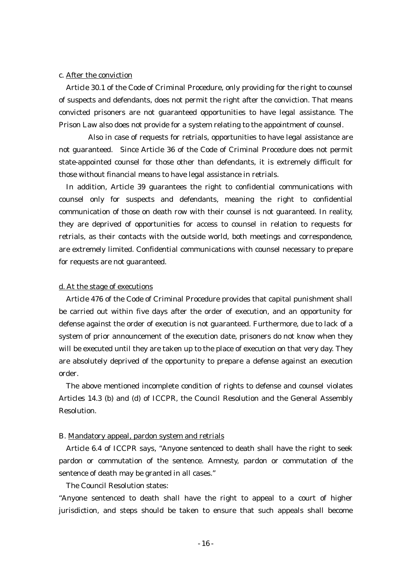#### c. After the conviction

Article 30.1 of the Code of Criminal Procedure, only providing for the right to counsel of suspects and defendants, does not permit the right after the conviction. That means convicted prisoners are not guaranteed opportunities to have legal assistance. The Prison Law also does not provide for a system relating to the appointment of counsel.

Also in case of requests for retrials, opportunities to have legal assistance are not guaranteed. Since Article 36 of the Code of Criminal Procedure does not permit state-appointed counsel for those other than defendants, it is extremely difficult for those without financial means to have legal assistance in retrials.

In addition, Article 39 guarantees the right to confidential communications with counsel only for suspects and defendants, meaning the right to confidential communication of those on death row with their counsel is not guaranteed. In reality, they are deprived of opportunities for access to counsel in relation to requests for retrials, as their contacts with the outside world, both meetings and correspondence, are extremely limited. Confidential communications with counsel necessary to prepare for requests are not guaranteed.

## d. At the stage of executions

Article 476 of the Code of Criminal Procedure provides that capital punishment shall be carried out within five days after the order of execution, and an opportunity for defense against the order of execution is not guaranteed. Furthermore, due to lack of a system of prior announcement of the execution date, prisoners do not know when they will be executed until they are taken up to the place of execution on that very day. They are absolutely deprived of the opportunity to prepare a defense against an execution order.

The above mentioned incomplete condition of rights to defense and counsel violates Articles 14.3 (b) and (d) of ICCPR, the Council Resolution and the General Assembly Resolution.

#### B. Mandatory appeal, pardon system and retrials

Article 6.4 of ICCPR says, "Anyone sentenced to death shall have the right to seek pardon or commutation of the sentence. Amnesty, pardon or commutation of the sentence of death may be granted in all cases."

The Council Resolution states:

"Anyone sentenced to death shall have the right to appeal to a court of higher jurisdiction, and steps should be taken to ensure that such appeals shall become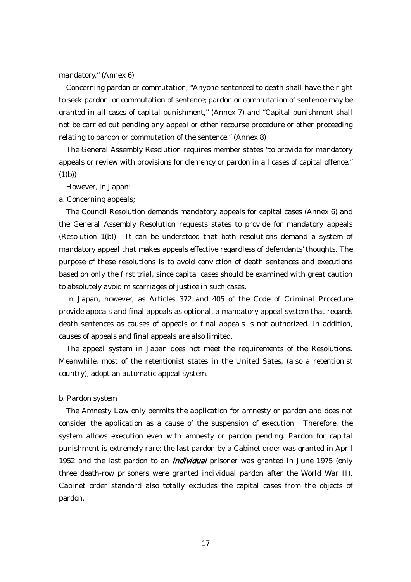#### mandatory," (Annex 6)

Concerning pardon or commutation; "Anyone sentenced to death shall have the right to seek pardon, or commutation of sentence; pardon or commutation of sentence may be granted in all cases of capital punishment," (Annex 7) and "Capital punishment shall not be carried out pending any appeal or other recourse procedure or other proceeding relating to pardon or commutation of the sentence." (Annex 8)

The General Assembly Resolution requires member states "to provide for mandatory appeals or review with provisions for clemency or pardon in all cases of capital offence."  $(1(b))$ 

However, in Japan:

### a. Concerning appeals;

The Council Resolution demands mandatory appeals for capital cases (Annex 6) and the General Assembly Resolution requests states to provide for mandatory appeals (Resolution 1(b)). It can be understood that both resolutions demand a system of mandatory appeal that makes appeals effective regardless of defendants' thoughts. The purpose of these resolutions is to avoid conviction of death sentences and executions based on only the first trial, since capital cases should be examined with great caution to absolutely avoid miscarriages of justice in such cases.

In Japan, however, as Articles 372 and 405 of the Code of Criminal Procedure provide appeals and final appeals as optional, a mandatory appeal system that regards death sentences as causes of appeals or final appeals is not authorized. In addition, causes of appeals and final appeals are also limited.

The appeal system in Japan does not meet the requirements of the Resolutions. Meanwhile, most of the retentionist states in the United Sates, (also a retentionist country), adopt an automatic appeal system.

#### b. Pardon system

The Amnesty Law only permits the application for amnesty or pardon and does not consider the application as a cause of the suspension of execution. Therefore, the system allows execution even with amnesty or pardon pending. Pardon for capital punishment is extremely rare: the last pardon by a Cabinet order was granted in April 1952 and the last pardon to an *individual* prisoner was granted in June 1975 (only three death-row prisoners were granted individual pardon after the World War II). Cabinet order standard also totally excludes the capital cases from the objects of pardon.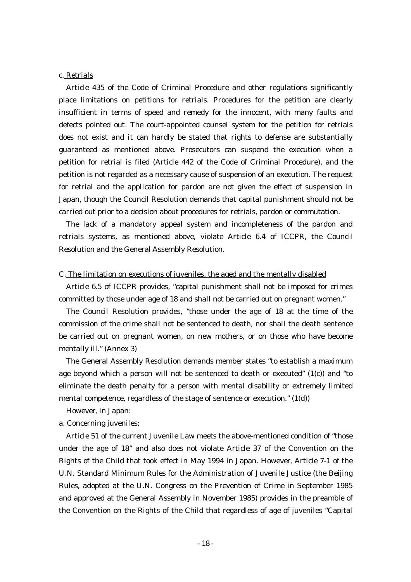#### c. Retrials

Article 435 of the Code of Criminal Procedure and other regulations significantly place limitations on petitions for retrials. Procedures for the petition are clearly insufficient in terms of speed and remedy for the innocent, with many faults and defects pointed out. The court-appointed counsel system for the petition for retrials does not exist and it can hardly be stated that rights to defense are substantially guaranteed as mentioned above. Prosecutors can suspend the execution when a petition for retrial is filed (Article 442 of the Code of Criminal Procedure), and the petition is not regarded as a necessary cause of suspension of an execution. The request for retrial and the application for pardon are not given the effect of suspension in Japan, though the Council Resolution demands that capital punishment should not be carried out prior to a decision about procedures for retrials, pardon or commutation.

The lack of a mandatory appeal system and incompleteness of the pardon and retrials systems, as mentioned above, violate Article 6.4 of ICCPR, the Council Resolution and the General Assembly Resolution.

#### C. The limitation on executions of juveniles, the aged and the mentally disabled

Article 6.5 of ICCPR provides, "capital punishment shall not be imposed for crimes committed by those under age of 18 and shall not be carried out on pregnant women."

The Council Resolution provides, "those under the age of 18 at the time of the commission of the crime shall not be sentenced to death, nor shall the death sentence be carried out on pregnant women, on new mothers, or on those who have become mentally ill." (Annex 3)

The General Assembly Resolution demands member states "to establish a maximum age beyond which a person will not be sentenced to death or executed"  $(1(c))$  and "to eliminate the death penalty for a person with mental disability or extremely limited mental competence, regardless of the stage of sentence or execution." (1(d))

However, in Japan:

## a. Concerning juveniles;

Article 51 of the current Juvenile Law meets the above-mentioned condition of "those under the age of 18" and also does not violate Article 37 of the Convention on the Rights of the Child that took effect in May 1994 in Japan. However, Article 7-1 of the U.N. Standard Minimum Rules for the Administration of Juvenile Justice (the Beijing Rules, adopted at the U.N. Congress on the Prevention of Crime in September 1985 and approved at the General Assembly in November 1985) provides in the preamble of the Convention on the Rights of the Child that regardless of age of juveniles "Capital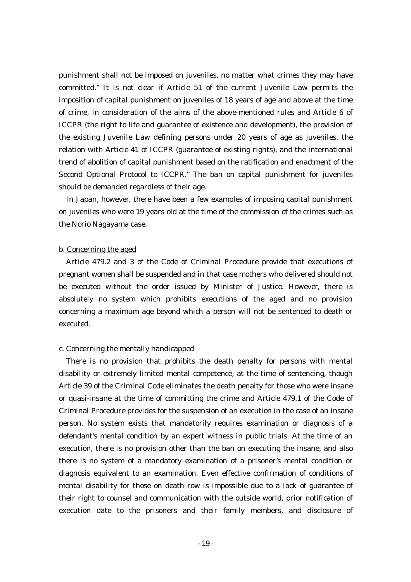punishment shall not be imposed on juveniles, no matter what crimes they may have committed." It is not clear if Article 51 of the current Juvenile Law permits the imposition of capital punishment on juveniles of 18 years of age and above at the time of crime, in consideration of the aims of the above-mentioned rules and Article 6 of ICCPR (the right to life and guarantee of existence and development), the provision of the existing Juvenile Law defining persons under 20 years of age as juveniles, the relation with Article 41 of ICCPR (guarantee of existing rights), and the international trend of abolition of capital punishment based on the ratification and enactment of the Second Optional Protocol to ICCPR." The ban on capital punishment for juveniles should be demanded regardless of their age.

In Japan, however, there have been a few examples of imposing capital punishment on juveniles who were 19 years old at the time of the commission of the crimes such as the Norio Nagayama case.

#### b. Concerning the aged

Article 479.2 and 3 of the Code of Criminal Procedure provide that executions of pregnant women shall be suspended and in that case mothers who delivered should not be executed without the order issued by Minister of Justice. However, there is absolutely no system which prohibits executions of the aged and no provision concerning a maximum age beyond which a person will not be sentenced to death or executed.

## c. Concerning the mentally handicapped

There is no provision that prohibits the death penalty for persons with mental disability or extremely limited mental competence, at the time of sentencing, though Article 39 of the Criminal Code eliminates the death penalty for those who were insane or quasi-insane at the time of committing the crime and Article 479.1 of the Code of Criminal Procedure provides for the suspension of an execution in the case of an insane person. No system exists that mandatorily requires examination or diagnosis of a defendant's mental condition by an expert witness in public trials. At the time of an execution, there is no provision other than the ban on executing the insane, and also there is no system of a mandatory examination of a prisoner's mental condition or diagnosis equivalent to an examination. Even effective confirmation of conditions of mental disability for those on death row is impossible due to a lack of guarantee of their right to counsel and communication with the outside world, prior notification of execution date to the prisoners and their family members, and disclosure of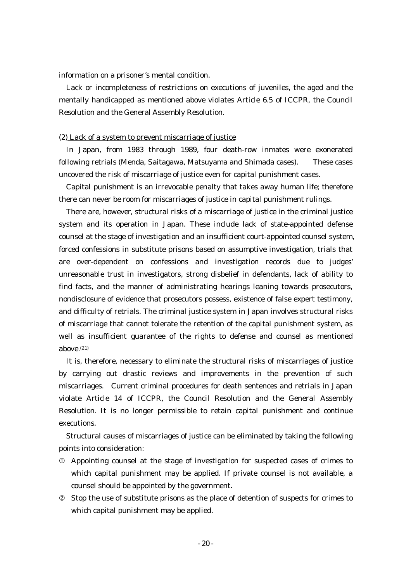information on a prisoner's mental condition.

Lack or incompleteness of restrictions on executions of juveniles, the aged and the mentally handicapped as mentioned above violates Article 6.5 of ICCPR, the Council Resolution and the General Assembly Resolution.

#### (2) Lack of a system to prevent miscarriage of justice

In Japan, from 1983 through 1989, four death-row inmates were exonerated following retrials (Menda, Saitagawa, Matsuyama and Shimada cases). These cases uncovered the risk of miscarriage of justice even for capital punishment cases.

Capital punishment is an irrevocable penalty that takes away human life; therefore there can never be room for miscarriages of justice in capital punishment rulings.

There are, however, structural risks of a miscarriage of justice in the criminal justice system and its operation in Japan. These include lack of state-appointed defense counsel at the stage of investigation and an insufficient court-appointed counsel system, forced confessions in substitute prisons based on assumptive investigation, trials that are over-dependent on confessions and investigation records due to judges' unreasonable trust in investigators, strong disbelief in defendants, lack of ability to find facts, and the manner of administrating hearings leaning towards prosecutors, nondisclosure of evidence that prosecutors possess, existence of false expert testimony, and difficulty of retrials. The criminal justice system in Japan involves structural risks of miscarriage that cannot tolerate the retention of the capital punishment system, as well as insufficient guarantee of the rights to defense and counsel as mentioned above. $(21)$ 

It is, therefore, necessary to eliminate the structural risks of miscarriages of justice by carrying out drastic reviews and improvements in the prevention of such miscarriages. Current criminal procedures for death sentences and retrials in Japan violate Article 14 of ICCPR, the Council Resolution and the General Assembly Resolution. It is no longer permissible to retain capital punishment and continue executions.

Structural causes of miscarriages of justice can be eliminated by taking the following points into consideration:

- 1 Appointing counsel at the stage of investigation for suspected cases of crimes to which capital punishment may be applied. If private counsel is not available, a counsel should be appointed by the government.
- 2 Stop the use of substitute prisons as the place of detention of suspects for crimes to which capital punishment may be applied.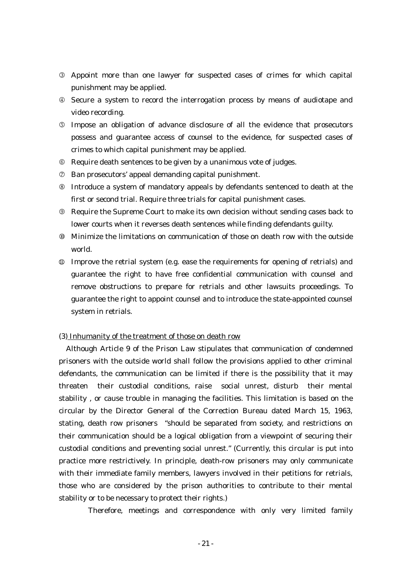- 3 Appoint more than one lawyer for suspected cases of crimes for which capital punishment may be applied.
- 4 Secure a system to record the interrogation process by means of audiotape and video recording.
- 5 Impose an obligation of advance disclosure of all the evidence that prosecutors possess and guarantee access of counsel to the evidence, for suspected cases of crimes to which capital punishment may be applied.
- 6 Require death sentences to be given by a unanimous vote of judges.
- 7 Ban prosecutors' appeal demanding capital punishment.
- 8 Introduce a system of mandatory appeals by defendants sentenced to death at the first or second trial. Require three trials for capital punishment cases.
- 9 Require the Supreme Court to make its own decision without sending cases back to lower courts when it reverses death sentences while finding defendants guilty.
- V Minimize the limitations on communication of those on death row with the outside world.
- $\omega$  Improve the retrial system (e.g. ease the requirements for opening of retrials) and guarantee the right to have free confidential communication with counsel and remove obstructions to prepare for retrials and other lawsuits proceedings. To guarantee the right to appoint counsel and to introduce the state-appointed counsel system in retrials.

## (3) Inhumanity of the treatment of those on death row

Although Article 9 of the Prison Law stipulates that communication of condemned prisoners with the outside world shall follow the provisions applied to other criminal defendants, the communication can be limited if there is the possibility that it may threaten their custodial conditions, raise social unrest, disturb their mental stability , or cause trouble in managing the facilities. This limitation is based on the circular by the Director General of the Correction Bureau dated March 15, 1963, stating, death row prisoners "should be separated from society, and restrictions on their communication should be a logical obligation from a viewpoint of securing their custodial conditions and preventing social unrest." (Currently, this circular is put into practice more restrictively. In principle, death-row prisoners may only communicate with their immediate family members, lawyers involved in their petitions for retrials, those who are considered by the prison authorities to contribute to their mental stability or to be necessary to protect their rights.)

Therefore, meetings and correspondence with only very limited family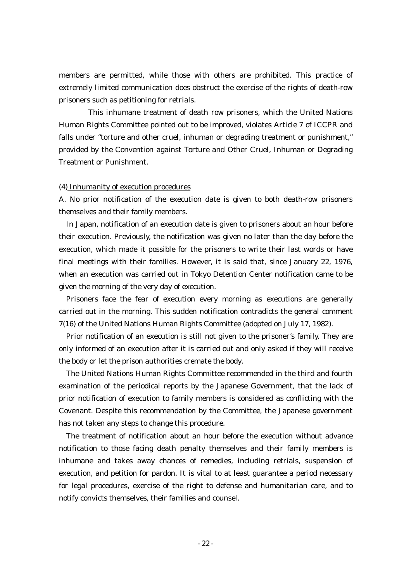members are permitted, while those with others are prohibited. This practice of extremely limited communication does obstruct the exercise of the rights of death-row prisoners such as petitioning for retrials.

This inhumane treatment of death row prisoners, which the United Nations Human Rights Committee pointed out to be improved, violates Article 7 of ICCPR and falls under "torture and other cruel, inhuman or degrading treatment or punishment," provided by the Convention against Torture and Other Cruel, Inhuman or Degrading Treatment or Punishment.

## (4) Inhumanity of execution procedures

A. No prior notification of the execution date is given to both death-row prisoners themselves and their family members.

In Japan, notification of an execution date is given to prisoners about an hour before their execution. Previously, the notification was given no later than the day before the execution, which made it possible for the prisoners to write their last words or have final meetings with their families. However, it is said that, since January 22, 1976, when an execution was carried out in Tokyo Detention Center notification came to be given the morning of the very day of execution.

Prisoners face the fear of execution every morning as executions are generally carried out in the morning. This sudden notification contradicts the general comment 7(16) of the United Nations Human Rights Committee (adopted on July 17, 1982).

Prior notification of an execution is still not given to the prisoner's family. They are only informed of an execution after it is carried out and only asked if they will receive the body or let the prison authorities cremate the body.

The United Nations Human Rights Committee recommended in the third and fourth examination of the periodical reports by the Japanese Government, that the lack of prior notification of execution to family members is considered as conflicting with the Covenant. Despite this recommendation by the Committee, the Japanese government has not taken any steps to change this procedure.

The treatment of notification about an hour before the execution without advance notification to those facing death penalty themselves and their family members is inhumane and takes away chances of remedies, including retrials, suspension of execution, and petition for pardon. It is vital to at least guarantee a period necessary for legal procedures, exercise of the right to defense and humanitarian care, and to notify convicts themselves, their families and counsel.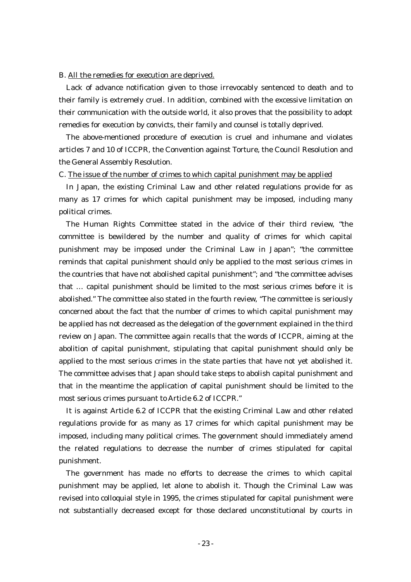#### B. All the remedies for execution are deprived.

Lack of advance notification given to those irrevocably sentenced to death and to their family is extremely cruel. In addition, combined with the excessive limitation on their communication with the outside world, it also proves that the possibility to adopt remedies for execution by convicts, their family and counsel is totally deprived.

The above-mentioned procedure of execution is cruel and inhumane and violates articles 7 and 10 of ICCPR, the Convention against Torture, the Council Resolution and the General Assembly Resolution.

#### C. The issue of the number of crimes to which capital punishment may be applied

In Japan, the existing Criminal Law and other related regulations provide for as many as 17 crimes for which capital punishment may be imposed, including many political crimes.

The Human Rights Committee stated in the advice of their third review, "the committee is bewildered by the number and quality of crimes for which capital punishment may be imposed under the Criminal Law in Japan"; "the committee reminds that capital punishment should only be applied to the most serious crimes in the countries that have not abolished capital punishment"; and "the committee advises that … capital punishment should be limited to the most serious crimes before it is abolished." The committee also stated in the fourth review, "The committee is seriously concerned about the fact that the number of crimes to which capital punishment may be applied has not decreased as the delegation of the government explained in the third review on Japan. The committee again recalls that the words of ICCPR, aiming at the abolition of capital punishment, stipulating that capital punishment should only be applied to the most serious crimes in the state parties that have not yet abolished it. The committee advises that Japan should take steps to abolish capital punishment and that in the meantime the application of capital punishment should be limited to the most serious crimes pursuant to Article 6.2 of ICCPR."

It is against Article 6.2 of ICCPR that the existing Criminal Law and other related regulations provide for as many as 17 crimes for which capital punishment may be imposed, including many political crimes. The government should immediately amend the related regulations to decrease the number of crimes stipulated for capital punishment.

The government has made no efforts to decrease the crimes to which capital punishment may be applied, let alone to abolish it. Though the Criminal Law was revised into colloquial style in 1995, the crimes stipulated for capital punishment were not substantially decreased except for those declared unconstitutional by courts in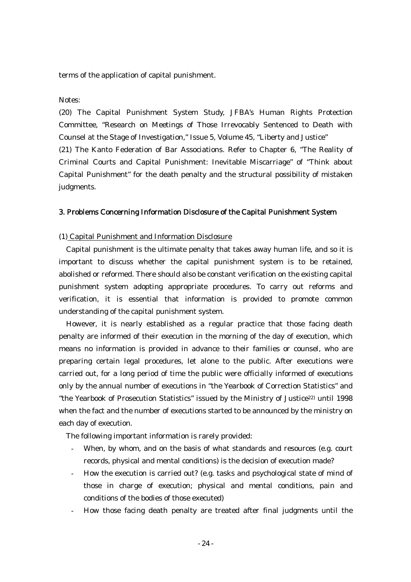terms of the application of capital punishment.

#### Notes:

(20) The Capital Punishment System Study, JFBA's Human Rights Protection Committee, "Research on Meetings of Those Irrevocably Sentenced to Death with Counsel at the Stage of Investigation," Issue 5, Volume 45, "Liberty and Justice" (21) The Kanto Federation of Bar Associations. Refer to Chapter 6, "The Reality of Criminal Courts and Capital Punishment: Inevitable Miscarriage" of "Think about Capital Punishment" for the death penalty and the structural possibility of mistaken judgments.

## 3. Problems Concerning Information Disclosure of the Capital Punishment System

#### (1) Capital Punishment and Information Disclosure

Capital punishment is the ultimate penalty that takes away human life, and so it is important to discuss whether the capital punishment system is to be retained, abolished or reformed. There should also be constant verification on the existing capital punishment system adopting appropriate procedures. To carry out reforms and verification, it is essential that information is provided to promote common understanding of the capital punishment system.

However, it is nearly established as a regular practice that those facing death penalty are informed of their execution in the morning of the day of execution, which means no information is provided in advance to their families or counsel, who are preparing certain legal procedures, let alone to the public. After executions were carried out, for a long period of time the public were officially informed of executions only by the annual number of executions in "the Yearbook of Correction Statistics" and "the Yearbook of Prosecution Statistics" issued by the Ministry of Justice22) until 1998 when the fact and the number of executions started to be announced by the ministry on each day of execution.

The following important information is rarely provided:

- When, by whom, and on the basis of what standards and resources (e.g. court records, physical and mental conditions) is the decision of execution made?
- How the execution is carried out? (e.g. tasks and psychological state of mind of those in charge of execution; physical and mental conditions, pain and conditions of the bodies of those executed)
- How those facing death penalty are treated after final judgments until the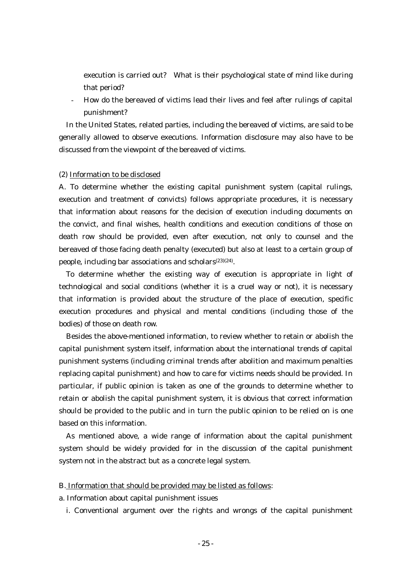execution is carried out? What is their psychological state of mind like during that period?

- How do the bereaved of victims lead their lives and feel after rulings of capital punishment?

In the United States, related parties, including the bereaved of victims, are said to be generally allowed to observe executions. Information disclosure may also have to be discussed from the viewpoint of the bereaved of victims.

#### (2) Information to be disclosed

A. To determine whether the existing capital punishment system (capital rulings, execution and treatment of convicts) follows appropriate procedures, it is necessary that information about reasons for the decision of execution including documents on the convict, and final wishes, health conditions and execution conditions of those on death row should be provided, even after execution, not only to counsel and the bereaved of those facing death penalty (executed) but also at least to a certain group of people, including bar associations and scholars(23)(24).

To determine whether the existing way of execution is appropriate in light of technological and social conditions (whether it is a cruel way or not), it is necessary that information is provided about the structure of the place of execution, specific execution procedures and physical and mental conditions (including those of the bodies) of those on death row.

Besides the above-mentioned information, to review whether to retain or abolish the capital punishment system itself, information about the international trends of capital punishment systems (including criminal trends after abolition and maximum penalties replacing capital punishment) and how to care for victims needs should be provided. In particular, if public opinion is taken as one of the grounds to determine whether to retain or abolish the capital punishment system, it is obvious that correct information should be provided to the public and in turn the public opinion to be relied on is one based on this information.

As mentioned above, a wide range of information about the capital punishment system should be widely provided for in the discussion of the capital punishment system not in the abstract but as a concrete legal system.

#### B. Information that should be provided may be listed as follows:

- a. Information about capital punishment issues
	- i. Conventional argument over the rights and wrongs of the capital punishment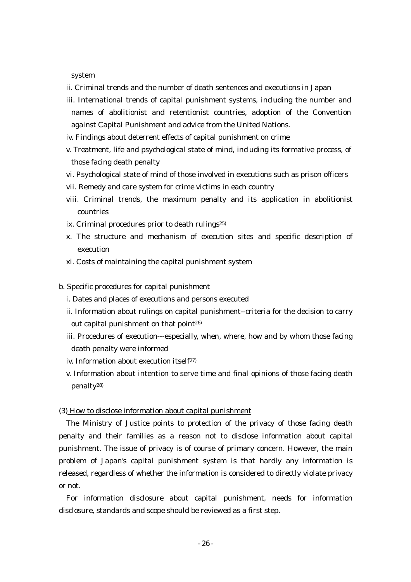system

- ii. Criminal trends and the number of death sentences and executions in Japan
- iii. International trends of capital punishment systems, including the number and names of abolitionist and retentionist countries, adoption of the Convention against Capital Punishment and advice from the United Nations.
- iv. Findings about deterrent effects of capital punishment on crime
- v. Treatment, life and psychological state of mind, including its formative process, of those facing death penalty
- vi. Psychological state of mind of those involved in executions such as prison officers
- vii. Remedy and care system for crime victims in each country
- viii. Criminal trends, the maximum penalty and its application in abolitionist countries
- ix. Criminal procedures prior to death rulings<sup>25)</sup>
- x. The structure and mechanism of execution sites and specific description of execution
- xi. Costs of maintaining the capital punishment system
- b. Specific procedures for capital punishment
	- i. Dates and places of executions and persons executed
	- ii. Information about rulings on capital punishment--criteria for the decision to carry out capital punishment on that point26)
	- iii. Procedures of execution---especially, when, where, how and by whom those facing death penalty were informed
	- iv. Information about execution itself27)
	- v. Information about intention to serve time and final opinions of those facing death penalty28)

#### (3) How to disclose information about capital punishment

The Ministry of Justice points to protection of the privacy of those facing death penalty and their families as a reason not to disclose information about capital punishment. The issue of privacy is of course of primary concern. However, the main problem of Japan's capital punishment system is that hardly any information is released, regardless of whether the information is considered to directly violate privacy or not.

For information disclosure about capital punishment, needs for information disclosure, standards and scope should be reviewed as a first step.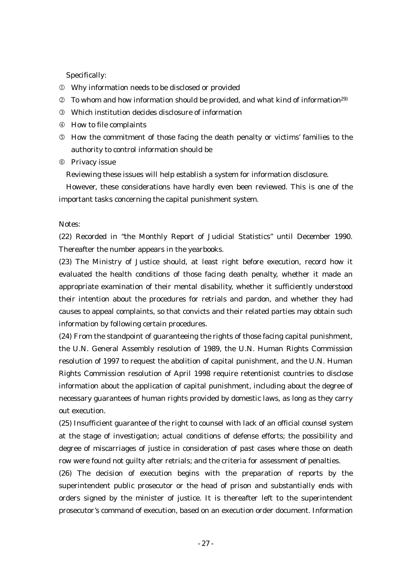Specifically:

- 1 Why information needs to be disclosed or provided
- $\degree$  To whom and how information should be provided, and what kind of information<sup>29)</sup>
- 3 Which institution decides disclosure of information
- 4 How to file complaints
- 5 How the commitment of those facing the death penalty or victims' families to the authority to control information should be
- 6 Privacy issue

Reviewing these issues will help establish a system for information disclosure.

However, these considerations have hardly even been reviewed. This is one of the important tasks concerning the capital punishment system.

## Notes:

(22) Recorded in "the Monthly Report of Judicial Statistics" until December 1990. Thereafter the number appears in the yearbooks.

(23) The Ministry of Justice should, at least right before execution, record how it evaluated the health conditions of those facing death penalty, whether it made an appropriate examination of their mental disability, whether it sufficiently understood their intention about the procedures for retrials and pardon, and whether they had causes to appeal complaints, so that convicts and their related parties may obtain such information by following certain procedures.

(24) From the standpoint of guaranteeing the rights of those facing capital punishment, the U.N. General Assembly resolution of 1989, the U.N. Human Rights Commission resolution of 1997 to request the abolition of capital punishment, and the U.N. Human Rights Commission resolution of April 1998 require retentionist countries to disclose information about the application of capital punishment, including about the degree of necessary guarantees of human rights provided by domestic laws, as long as they carry out execution.

(25) Insufficient guarantee of the right to counsel with lack of an official counsel system at the stage of investigation; actual conditions of defense efforts; the possibility and degree of miscarriages of justice in consideration of past cases where those on death row were found not guilty after retrials; and the criteria for assessment of penalties.

(26) The decision of execution begins with the preparation of reports by the superintendent public prosecutor or the head of prison and substantially ends with orders signed by the minister of justice. It is thereafter left to the superintendent prosecutor's command of execution, based on an execution order document. Information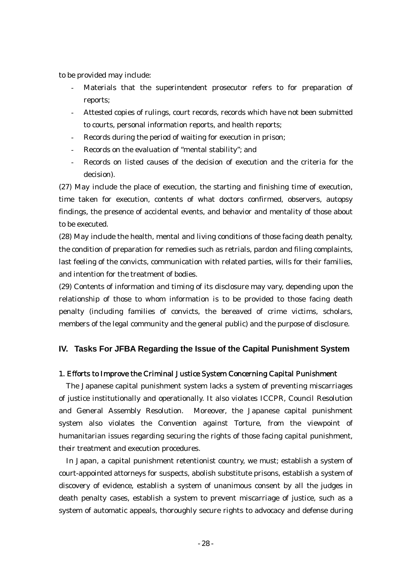to be provided may include:

- Materials that the superintendent prosecutor refers to for preparation of reports;
- Attested copies of rulings, court records, records which have not been submitted to courts, personal information reports, and health reports;
- Records during the period of waiting for execution in prison;
- Records on the evaluation of "mental stability"; and
- Records on listed causes of the decision of execution and the criteria for the decision).

(27) May include the place of execution, the starting and finishing time of execution, time taken for execution, contents of what doctors confirmed, observers, autopsy findings, the presence of accidental events, and behavior and mentality of those about to be executed.

(28) May include the health, mental and living conditions of those facing death penalty, the condition of preparation for remedies such as retrials, pardon and filing complaints, last feeling of the convicts, communication with related parties, wills for their families, and intention for the treatment of bodies.

(29) Contents of information and timing of its disclosure may vary, depending upon the relationship of those to whom information is to be provided to those facing death penalty (including families of convicts, the bereaved of crime victims, scholars, members of the legal community and the general public) and the purpose of disclosure.

## **IV. Tasks For JFBA Regarding the Issue of the Capital Punishment System**

## 1. Efforts to Improve the Criminal Justice System Concerning Capital Punishment

The Japanese capital punishment system lacks a system of preventing miscarriages of justice institutionally and operationally. It also violates ICCPR, Council Resolution and General Assembly Resolution. Moreover, the Japanese capital punishment system also violates the Convention against Torture, from the viewpoint of humanitarian issues regarding securing the rights of those facing capital punishment, their treatment and execution procedures.

In Japan, a capital punishment retentionist country, we must; establish a system of court-appointed attorneys for suspects, abolish substitute prisons, establish a system of discovery of evidence, establish a system of unanimous consent by all the judges in death penalty cases, establish a system to prevent miscarriage of justice, such as a system of automatic appeals, thoroughly secure rights to advocacy and defense during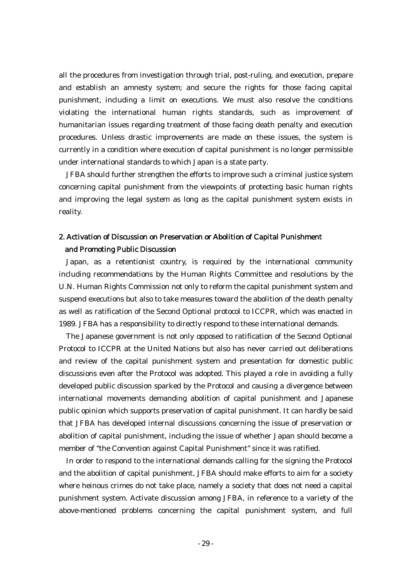all the procedures from investigation through trial, post-ruling, and execution, prepare and establish an amnesty system; and secure the rights for those facing capital punishment, including a limit on executions. We must also resolve the conditions violating the international human rights standards, such as improvement of humanitarian issues regarding treatment of those facing death penalty and execution procedures. Unless drastic improvements are made on these issues, the system is currently in a condition where execution of capital punishment is no longer permissible under international standards to which Japan is a state party.

JFBA should further strengthen the efforts to improve such a criminal justice system concerning capital punishment from the viewpoints of protecting basic human rights and improving the legal system as long as the capital punishment system exists in reality.

# 2. Activation of Discussion on Preservation or Abolition of Capital Punishment and Promoting Public Discussion

Japan, as a retentionist country, is required by the international community including recommendations by the Human Rights Committee and resolutions by the U.N. Human Rights Commission not only to reform the capital punishment system and suspend executions but also to take measures toward the abolition of the death penalty as well as ratification of the Second Optional protocol to ICCPR, which was enacted in 1989. JFBA has a responsibility to directly respond to these international demands.

The Japanese government is not only opposed to ratification of the Second Optional Protocol to ICCPR at the United Nations but also has never carried out deliberations and review of the capital punishment system and presentation for domestic public discussions even after the Protocol was adopted. This played a role in avoiding a fully developed public discussion sparked by the Protocol and causing a divergence between international movements demanding abolition of capital punishment and Japanese public opinion which supports preservation of capital punishment. It can hardly be said that JFBA has developed internal discussions concerning the issue of preservation or abolition of capital punishment, including the issue of whether Japan should become a member of "the Convention against Capital Punishment" since it was ratified.

In order to respond to the international demands calling for the signing the Protocol and the abolition of capital punishment, JFBA should make efforts to aim for a society where heinous crimes do not take place, namely a society that does not need a capital punishment system. Activate discussion among JFBA, in reference to a variety of the above-mentioned problems concerning the capital punishment system, and full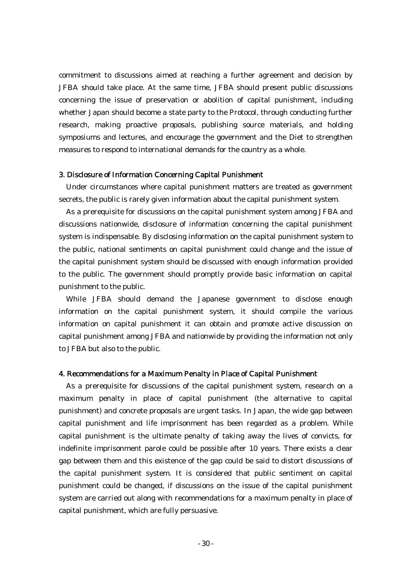commitment to discussions aimed at reaching a further agreement and decision by JFBA should take place. At the same time, JFBA should present public discussions concerning the issue of preservation or abolition of capital punishment, including whether Japan should become a state party to the Protocol, through conducting further research, making proactive proposals, publishing source materials, and holding symposiums and lectures, and encourage the government and the Diet to strengthen measures to respond to international demands for the country as a whole.

#### 3. Disclosure of Information Concerning Capital Punishment

Under circumstances where capital punishment matters are treated as government secrets, the public is rarely given information about the capital punishment system.

As a prerequisite for discussions on the capital punishment system among JFBA and discussions nationwide, disclosure of information concerning the capital punishment system is indispensable. By disclosing information on the capital punishment system to the public, national sentiments on capital punishment could change and the issue of the capital punishment system should be discussed with enough information provided to the public. The government should promptly provide basic information on capital punishment to the public.

While JFBA should demand the Japanese government to disclose enough information on the capital punishment system, it should compile the various information on capital punishment it can obtain and promote active discussion on capital punishment among JFBA and nationwide by providing the information not only to JFBA but also to the public.

## 4. Recommendations for a Maximum Penalty in Place of Capital Punishment

As a prerequisite for discussions of the capital punishment system, research on a maximum penalty in place of capital punishment (the alternative to capital punishment) and concrete proposals are urgent tasks. In Japan, the wide gap between capital punishment and life imprisonment has been regarded as a problem. While capital punishment is the ultimate penalty of taking away the lives of convicts, for indefinite imprisonment parole could be possible after 10 years. There exists a clear gap between them and this existence of the gap could be said to distort discussions of the capital punishment system. It is considered that public sentiment on capital punishment could be changed, if discussions on the issue of the capital punishment system are carried out along with recommendations for a maximum penalty in place of capital punishment, which are fully persuasive.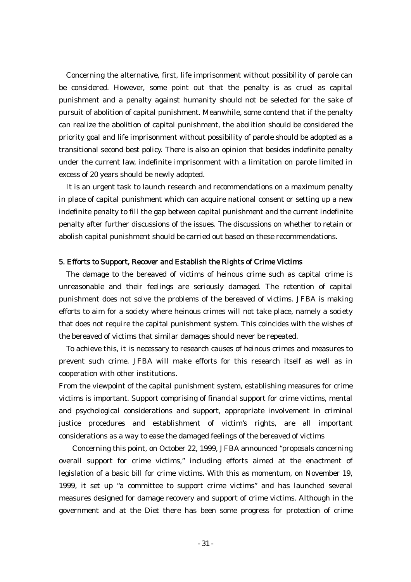Concerning the alternative, first, life imprisonment without possibility of parole can be considered. However, some point out that the penalty is as cruel as capital punishment and a penalty against humanity should not be selected for the sake of pursuit of abolition of capital punishment. Meanwhile, some contend that if the penalty can realize the abolition of capital punishment, the abolition should be considered the priority goal and life imprisonment without possibility of parole should be adopted as a transitional second best policy. There is also an opinion that besides indefinite penalty under the current law, indefinite imprisonment with a limitation on parole limited in excess of 20 years should be newly adopted.

It is an urgent task to launch research and recommendations on a maximum penalty in place of capital punishment which can acquire national consent or setting up a new indefinite penalty to fill the gap between capital punishment and the current indefinite penalty after further discussions of the issues. The discussions on whether to retain or abolish capital punishment should be carried out based on these recommendations.

#### 5. Efforts to Support, Recover and Establish the Rights of Crime Victims

The damage to the bereaved of victims of heinous crime such as capital crime is unreasonable and their feelings are seriously damaged. The retention of capital punishment does not solve the problems of the bereaved of victims. JFBA is making efforts to aim for a society where heinous crimes will not take place, namely a society that does not require the capital punishment system. This coincides with the wishes of the bereaved of victims that similar damages should never be repeated.

To achieve this, it is necessary to research causes of heinous crimes and measures to prevent such crime. JFBA will make efforts for this research itself as well as in cooperation with other institutions.

From the viewpoint of the capital punishment system, establishing measures for crime victims is important. Support comprising of financial support for crime victims, mental and psychological considerations and support, appropriate involvement in criminal justice procedures and establishment of victim's rights, are all important considerations as a way to ease the damaged feelings of the bereaved of victims

 Concerning this point, on October 22, 1999, JFBA announced "proposals concerning overall support for crime victims," including efforts aimed at the enactment of legislation of a basic bill for crime victims. With this as momentum, on November 19, 1999, it set up "a committee to support crime victims" and has launched several measures designed for damage recovery and support of crime victims. Although in the government and at the Diet there has been some progress for protection of crime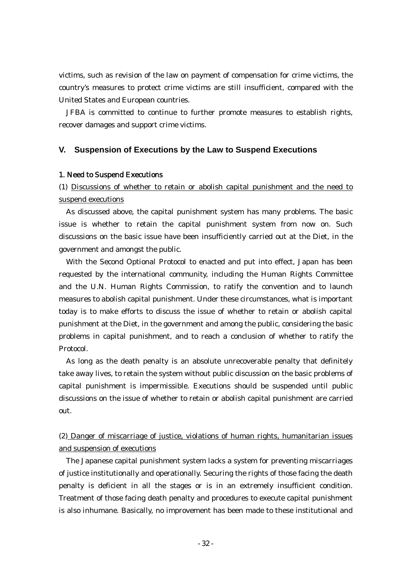victims, such as revision of the law on payment of compensation for crime victims, the country's measures to protect crime victims are still insufficient, compared with the United States and European countries.

 JFBA is committed to continue to further promote measures to establish rights, recover damages and support crime victims.

## **V. Suspension of Executions by the Law to Suspend Executions**

#### 1. Need to Suspend Executions

(1) Discussions of whether to retain or abolish capital punishment and the need to suspend executions

As discussed above, the capital punishment system has many problems. The basic issue is whether to retain the capital punishment system from now on. Such discussions on the basic issue have been insufficiently carried out at the Diet, in the government and amongst the public.

With the Second Optional Protocol to enacted and put into effect, Japan has been requested by the international community, including the Human Rights Committee and the U.N. Human Rights Commission, to ratify the convention and to launch measures to abolish capital punishment. Under these circumstances, what is important today is to make efforts to discuss the issue of whether to retain or abolish capital punishment at the Diet, in the government and among the public, considering the basic problems in capital punishment, and to reach a conclusion of whether to ratify the Protocol.

As long as the death penalty is an absolute unrecoverable penalty that definitely take away lives, to retain the system without public discussion on the basic problems of capital punishment is impermissible. Executions should be suspended until public discussions on the issue of whether to retain or abolish capital punishment are carried out.

(2) Danger of miscarriage of justice, violations of human rights, humanitarian issues and suspension of executions

The Japanese capital punishment system lacks a system for preventing miscarriages of justice institutionally and operationally. Securing the rights of those facing the death penalty is deficient in all the stages or is in an extremely insufficient condition. Treatment of those facing death penalty and procedures to execute capital punishment is also inhumane. Basically, no improvement has been made to these institutional and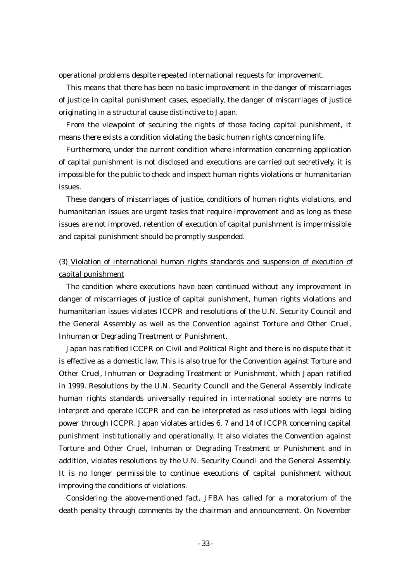operational problems despite repeated international requests for improvement.

This means that there has been no basic improvement in the danger of miscarriages of justice in capital punishment cases, especially, the danger of miscarriages of justice originating in a structural cause distinctive to Japan.

From the viewpoint of securing the rights of those facing capital punishment, it means there exists a condition violating the basic human rights concerning life.

Furthermore, under the current condition where information concerning application of capital punishment is not disclosed and executions are carried out secretively, it is impossible for the public to check and inspect human rights violations or humanitarian issues.

These dangers of miscarriages of justice, conditions of human rights violations, and humanitarian issues are urgent tasks that require improvement and as long as these issues are not improved, retention of execution of capital punishment is impermissible and capital punishment should be promptly suspended.

# (3) Violation of international human rights standards and suspension of execution of capital punishment

The condition where executions have been continued without any improvement in danger of miscarriages of justice of capital punishment, human rights violations and humanitarian issues violates ICCPR and resolutions of the U.N. Security Council and the General Assembly as well as the Convention against Torture and Other Cruel, Inhuman or Degrading Treatment or Punishment.

Japan has ratified ICCPR on Civil and Political Right and there is no dispute that it is effective as a domestic law. This is also true for the Convention against Torture and Other Cruel, Inhuman or Degrading Treatment or Punishment, which Japan ratified in 1999. Resolutions by the U.N. Security Council and the General Assembly indicate human rights standards universally required in international society are norms to interpret and operate ICCPR and can be interpreted as resolutions with legal biding power through ICCPR. Japan violates articles 6, 7 and 14 of ICCPR concerning capital punishment institutionally and operationally. It also violates the Convention against Torture and Other Cruel, Inhuman or Degrading Treatment or Punishment and in addition, violates resolutions by the U.N. Security Council and the General Assembly. It is no longer permissible to continue executions of capital punishment without improving the conditions of violations.

Considering the above-mentioned fact, JFBA has called for a moratorium of the death penalty through comments by the chairman and announcement. On November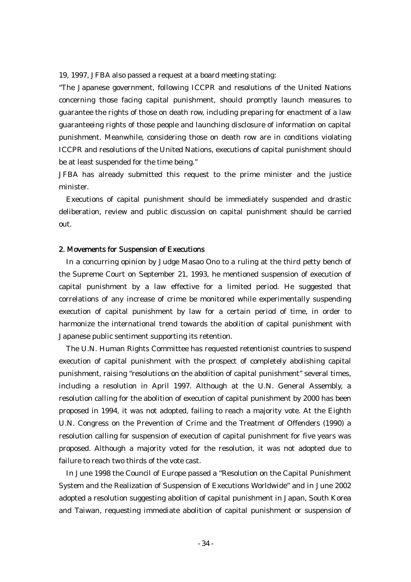19, 1997, JFBA also passed a request at a board meeting stating:

"The Japanese government, following ICCPR and resolutions of the United Nations concerning those facing capital punishment, should promptly launch measures to guarantee the rights of those on death row, including preparing for enactment of a law guaranteeing rights of those people and launching disclosure of information on capital punishment. Meanwhile, considering those on death row are in conditions violating ICCPR and resolutions of the United Nations, executions of capital punishment should be at least suspended for the time being."

JFBA has already submitted this request to the prime minister and the justice minister.

Executions of capital punishment should be immediately suspended and drastic deliberation, review and public discussion on capital punishment should be carried out.

#### 2. Movements for Suspension of Executions

 In a concurring opinion by Judge Masao Ono to a ruling at the third petty bench of the Supreme Court on September 21, 1993, he mentioned suspension of execution of capital punishment by a law effective for a limited period. He suggested that correlations of any increase of crime be monitored while experimentally suspending execution of capital punishment by law for a certain period of time, in order to harmonize the international trend towards the abolition of capital punishment with Japanese public sentiment supporting its retention.

The U.N. Human Rights Committee has requested retentionist countries to suspend execution of capital punishment with the prospect of completely abolishing capital punishment, raising "resolutions on the abolition of capital punishment" several times, including a resolution in April 1997. Although at the U.N. General Assembly, a resolution calling for the abolition of execution of capital punishment by 2000 has been proposed in 1994, it was not adopted, failing to reach a majority vote. At the Eighth U.N. Congress on the Prevention of Crime and the Treatment of Offenders (1990) a resolution calling for suspension of execution of capital punishment for five years was proposed. Although a majority voted for the resolution, it was not adopted due to failure to reach two thirds of the vote cast.

In June 1998 the Council of Europe passed a "Resolution on the Capital Punishment System and the Realization of Suspension of Executions Worldwide" and in June 2002 adopted a resolution suggesting abolition of capital punishment in Japan, South Korea and Taiwan, requesting immediate abolition of capital punishment or suspension of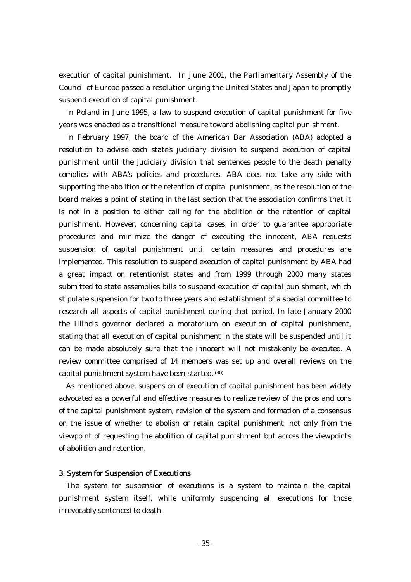execution of capital punishment. In June 2001, the Parliamentary Assembly of the Council of Europe passed a resolution urging the United States and Japan to promptly suspend execution of capital punishment.

In Poland in June 1995, a law to suspend execution of capital punishment for five years was enacted as a transitional measure toward abolishing capital punishment.

In February 1997, the board of the American Bar Association (ABA) adopted a resolution to advise each state's judiciary division to suspend execution of capital punishment until the judiciary division that sentences people to the death penalty complies with ABA's policies and procedures. ABA does not take any side with supporting the abolition or the retention of capital punishment, as the resolution of the board makes a point of stating in the last section that the association confirms that it is not in a position to either calling for the abolition or the retention of capital punishment. However, concerning capital cases, in order to guarantee appropriate procedures and minimize the danger of executing the innocent, ABA requests suspension of capital punishment until certain measures and procedures are implemented. This resolution to suspend execution of capital punishment by ABA had a great impact on retentionist states and from 1999 through 2000 many states submitted to state assemblies bills to suspend execution of capital punishment, which stipulate suspension for two to three years and establishment of a special committee to research all aspects of capital punishment during that period. In late January 2000 the Illinois governor declared a moratorium on execution of capital punishment, stating that all execution of capital punishment in the state will be suspended until it can be made absolutely sure that the innocent will not mistakenly be executed. A review committee comprised of 14 members was set up and overall reviews on the capital punishment system have been started. (30)

As mentioned above, suspension of execution of capital punishment has been widely advocated as a powerful and effective measures to realize review of the pros and cons of the capital punishment system, revision of the system and formation of a consensus on the issue of whether to abolish or retain capital punishment, not only from the viewpoint of requesting the abolition of capital punishment but across the viewpoints of abolition and retention.

#### 3. System for Suspension of Executions

The system for suspension of executions is a system to maintain the capital punishment system itself, while uniformly suspending all executions for those irrevocably sentenced to death.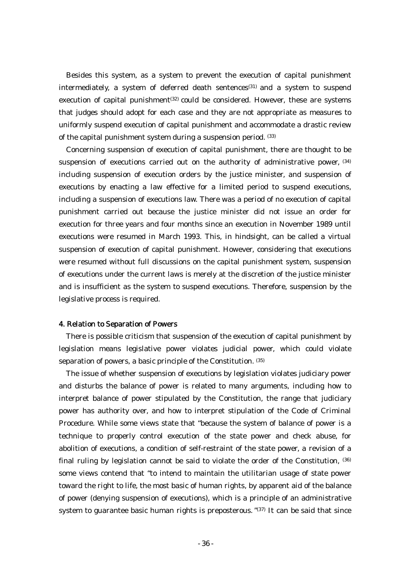Besides this system, as a system to prevent the execution of capital punishment intermediately, a system of deferred death sentences<sup>(31)</sup> and a system to suspend execution of capital punishment<sup>(32)</sup> could be considered. However, these are systems that judges should adopt for each case and they are not appropriate as measures to uniformly suspend execution of capital punishment and accommodate a drastic review of the capital punishment system during a suspension period. (33)

Concerning suspension of execution of capital punishment, there are thought to be suspension of executions carried out on the authority of administrative power, (34) including suspension of execution orders by the justice minister, and suspension of executions by enacting a law effective for a limited period to suspend executions, including a suspension of executions law. There was a period of no execution of capital punishment carried out because the justice minister did not issue an order for execution for three years and four months since an execution in November 1989 until executions were resumed in March 1993. This, in hindsight, can be called a virtual suspension of execution of capital punishment. However, considering that executions were resumed without full discussions on the capital punishment system, suspension of executions under the current laws is merely at the discretion of the justice minister and is insufficient as the system to suspend executions. Therefore, suspension by the legislative process is required.

#### 4. Relation to Separation of Powers

There is possible criticism that suspension of the execution of capital punishment by legislation means legislative power violates judicial power, which could violate separation of powers, a basic principle of the Constitution. (35)

The issue of whether suspension of executions by legislation violates judiciary power and disturbs the balance of power is related to many arguments, including how to interpret balance of power stipulated by the Constitution, the range that judiciary power has authority over, and how to interpret stipulation of the Code of Criminal Procedure. While some views state that "because the system of balance of power is a technique to properly control execution of the state power and check abuse, for abolition of executions, a condition of self-restraint of the state power, a revision of a final ruling by legislation cannot be said to violate the order of the Constitution, (36) some views contend that "to intend to maintain the utilitarian usage of state power toward the right to life, the most basic of human rights, by apparent aid of the balance of power (denying suspension of executions), which is a principle of an administrative system to guarantee basic human rights is preposterous. "(37) It can be said that since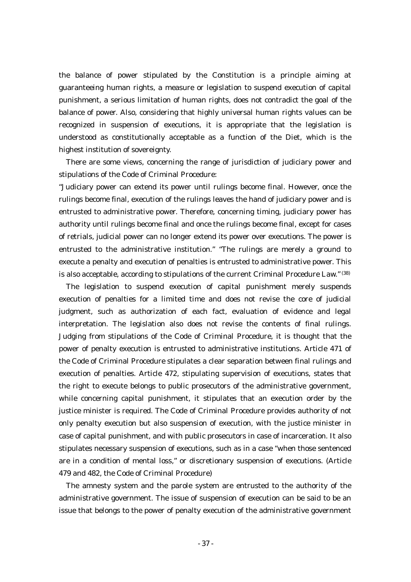the balance of power stipulated by the Constitution is a principle aiming at guaranteeing human rights, a measure or legislation to suspend execution of capital punishment, a serious limitation of human rights, does not contradict the goal of the balance of power. Also, considering that highly universal human rights values can be recognized in suspension of executions, it is appropriate that the legislation is understood as constitutionally acceptable as a function of the Diet, which is the highest institution of sovereignty.

There are some views, concerning the range of jurisdiction of judiciary power and stipulations of the Code of Criminal Procedure:

"Judiciary power can extend its power until rulings become final. However, once the rulings become final, execution of the rulings leaves the hand of judiciary power and is entrusted to administrative power. Therefore, concerning timing, judiciary power has authority until rulings become final and once the rulings become final, except for cases of retrials, judicial power can no longer extend its power over executions. The power is entrusted to the administrative institution." "The rulings are merely a ground to execute a penalty and execution of penalties is entrusted to administrative power. This is also acceptable, according to stipulations of the current Criminal Procedure Law." (38)

The legislation to suspend execution of capital punishment merely suspends execution of penalties for a limited time and does not revise the core of judicial judgment, such as authorization of each fact, evaluation of evidence and legal interpretation. The legislation also does not revise the contents of final rulings. Judging from stipulations of the Code of Criminal Procedure, it is thought that the power of penalty execution is entrusted to administrative institutions. Article 471 of the Code of Criminal Procedure stipulates a clear separation between final rulings and execution of penalties. Article 472, stipulating supervision of executions, states that the right to execute belongs to public prosecutors of the administrative government, while concerning capital punishment, it stipulates that an execution order by the justice minister is required. The Code of Criminal Procedure provides authority of not only penalty execution but also suspension of execution, with the justice minister in case of capital punishment, and with public prosecutors in case of incarceration. It also stipulates necessary suspension of executions, such as in a case "when those sentenced are in a condition of mental loss," or discretionary suspension of executions. (Article 479 and 482, the Code of Criminal Procedure)

The amnesty system and the parole system are entrusted to the authority of the administrative government. The issue of suspension of execution can be said to be an issue that belongs to the power of penalty execution of the administrative government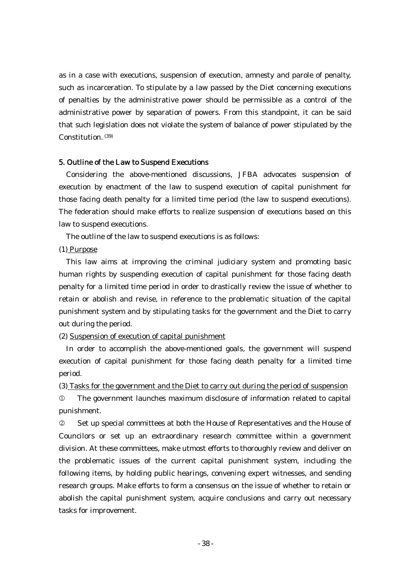as in a case with executions, suspension of execution, amnesty and parole of penalty, such as incarceration. To stipulate by a law passed by the Diet concerning executions of penalties by the administrative power should be permissible as a control of the administrative power by separation of powers. From this standpoint, it can be said that such legislation does not violate the system of balance of power stipulated by the Constitution. (39)

## 5. Outline of the Law to Suspend Executions

Considering the above-mentioned discussions, JFBA advocates suspension of execution by enactment of the law to suspend execution of capital punishment for those facing death penalty for a limited time period (the law to suspend executions). The federation should make efforts to realize suspension of executions based on this law to suspend executions.

The outline of the law to suspend executions is as follows:

#### (1) Purpose

This law aims at improving the criminal judiciary system and promoting basic human rights by suspending execution of capital punishment for those facing death penalty for a limited time period in order to drastically review the issue of whether to retain or abolish and revise, in reference to the problematic situation of the capital punishment system and by stipulating tasks for the government and the Diet to carry out during the period.

## (2) Suspension of execution of capital punishment

In order to accomplish the above-mentioned goals, the government will suspend execution of capital punishment for those facing death penalty for a limited time period.

(3) Tasks for the government and the Diet to carry out during the period of suspension 1 The government launches maximum disclosure of information related to capital punishment.

2 Set up special committees at both the House of Representatives and the House of Councilors or set up an extraordinary research committee within a government division. At these committees, make utmost efforts to thoroughly review and deliver on the problematic issues of the current capital punishment system, including the following items, by holding public hearings, convening expert witnesses, and sending research groups. Make efforts to form a consensus on the issue of whether to retain or abolish the capital punishment system, acquire conclusions and carry out necessary tasks for improvement.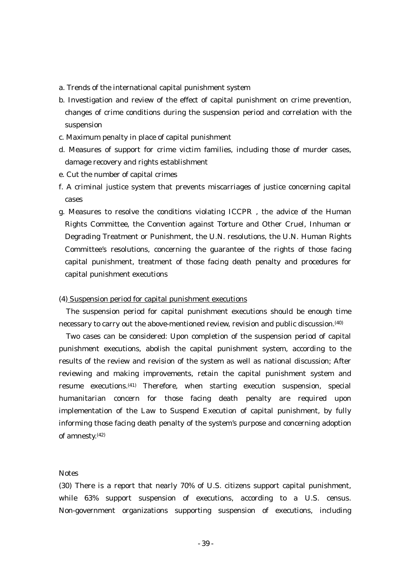- a. Trends of the international capital punishment system
- b. Investigation and review of the effect of capital punishment on crime prevention, changes of crime conditions during the suspension period and correlation with the suspension
- c. Maximum penalty in place of capital punishment
- d. Measures of support for crime victim families, including those of murder cases, damage recovery and rights establishment
- e. Cut the number of capital crimes
- f. A criminal justice system that prevents miscarriages of justice concerning capital cases
- g. Measures to resolve the conditions violating ICCPR , the advice of the Human Rights Committee, the Convention against Torture and Other Cruel, Inhuman or Degrading Treatment or Punishment, the U.N. resolutions, the U.N. Human Rights Committee's resolutions, concerning the guarantee of the rights of those facing capital punishment, treatment of those facing death penalty and procedures for capital punishment executions

## (4) Suspension period for capital punishment executions

 The suspension period for capital punishment executions should be enough time necessary to carry out the above-mentioned review, revision and public discussion.(40)

 Two cases can be considered: Upon completion of the suspension period of capital punishment executions, abolish the capital punishment system, according to the results of the review and revision of the system as well as national discussion; After reviewing and making improvements, retain the capital punishment system and resume executions.(41) Therefore, when starting execution suspension, special humanitarian concern for those facing death penalty are required upon implementation of the Law to Suspend Execution of capital punishment, by fully informing those facing death penalty of the system's purpose and concerning adoption of amnesty.<sup>(42)</sup>

## **Notes**

(30) There is a report that nearly 70% of U.S. citizens support capital punishment, while 63% support suspension of executions, according to a U.S. census. Non-government organizations supporting suspension of executions, including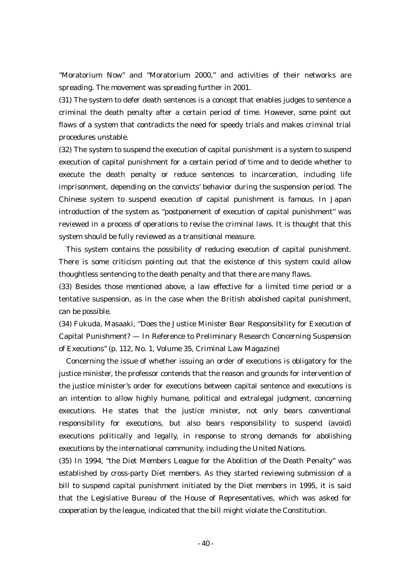"Moratorium Now" and "Moratorium 2000," and activities of their networks are spreading. The movement was spreading further in 2001.

(31) The system to defer death sentences is a concept that enables judges to sentence a criminal the death penalty after a certain period of time. However, some point out flaws of a system that contradicts the need for speedy trials and makes criminal trial procedures unstable.

(32) The system to suspend the execution of capital punishment is a system to suspend execution of capital punishment for a certain period of time and to decide whether to execute the death penalty or reduce sentences to incarceration, including life imprisonment, depending on the convicts' behavior during the suspension period. The Chinese system to suspend execution of capital punishment is famous. In Japan introduction of the system as "postponement of execution of capital punishment" was reviewed in a process of operations to revise the criminal laws. It is thought that this system should be fully reviewed as a transitional measure.

This system contains the possibility of reducing execution of capital punishment. There is some criticism pointing out that the existence of this system could allow thoughtless sentencing to the death penalty and that there are many flaws.

(33) Besides those mentioned above, a law effective for a limited time period or a tentative suspension, as in the case when the British abolished capital punishment, can be possible.

(34) Fukuda, Masaaki, "Does the Justice Minister Bear Responsibility for Execution of Capital Punishment? — In Reference to Preliminary Research Concerning Suspension of Executions" (p. 112, No. 1, Volume 35, Criminal Law Magazine)

Concerning the issue of whether issuing an order of executions is obligatory for the justice minister, the professor contends that the reason and grounds for intervention of the justice minister's order for executions between capital sentence and executions is an intention to allow highly humane, political and extralegal judgment, concerning executions. He states that the justice minister, not only bears conventional responsibility for executions, but also bears responsibility to suspend (avoid) executions politically and legally, in response to strong demands for abolishing executions by the international community, including the United Nations.

(35) In 1994, "the Diet Members League for the Abolition of the Death Penalty" was established by cross-party Diet members. As they started reviewing submission of a bill to suspend capital punishment initiated by the Diet members in 1995, it is said that the Legislative Bureau of the House of Representatives, which was asked for cooperation by the league, indicated that the bill might violate the Constitution.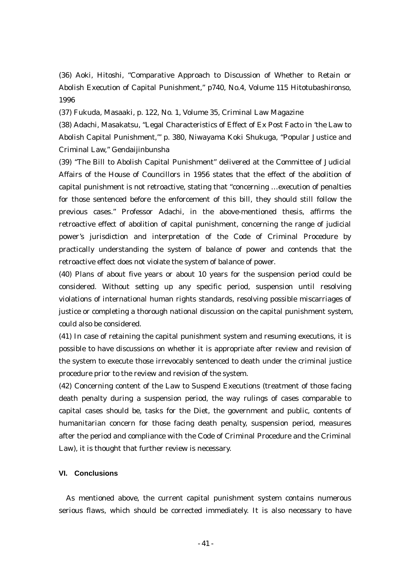(36) Aoki, Hitoshi, "Comparative Approach to Discussion of Whether to Retain or Abolish Execution of Capital Punishment," p740, No.4, Volume 115 Hitotubashironso, 1996

(37) Fukuda, Masaaki, p. 122, No. 1, Volume 35, Criminal Law Magazine

(38) Adachi, Masakatsu, "Legal Characteristics of Effect of Ex Post Facto in 'the Law to Abolish Capital Punishment,'" p. 380, Niwayama Koki Shukuga, "Popular Justice and Criminal Law," Gendaijinbunsha

(39) "The Bill to Abolish Capital Punishment" delivered at the Committee of Judicial Affairs of the House of Councillors in 1956 states that the effect of the abolition of capital punishment is not retroactive, stating that "concerning …execution of penalties for those sentenced before the enforcement of this bill, they should still follow the previous cases." Professor Adachi, in the above-mentioned thesis, affirms the retroactive effect of abolition of capital punishment, concerning the range of judicial power's jurisdiction and interpretation of the Code of Criminal Procedure by practically understanding the system of balance of power and contends that the retroactive effect does not violate the system of balance of power.

(40) Plans of about five years or about 10 years for the suspension period could be considered. Without setting up any specific period, suspension until resolving violations of international human rights standards, resolving possible miscarriages of justice or completing a thorough national discussion on the capital punishment system, could also be considered.

(41) In case of retaining the capital punishment system and resuming executions, it is possible to have discussions on whether it is appropriate after review and revision of the system to execute those irrevocably sentenced to death under the criminal justice procedure prior to the review and revision of the system.

(42) Concerning content of the Law to Suspend Executions (treatment of those facing death penalty during a suspension period, the way rulings of cases comparable to capital cases should be, tasks for the Diet, the government and public, contents of humanitarian concern for those facing death penalty, suspension period, measures after the period and compliance with the Code of Criminal Procedure and the Criminal Law), it is thought that further review is necessary.

## **VI. Conclusions**

As mentioned above, the current capital punishment system contains numerous serious flaws, which should be corrected immediately. It is also necessary to have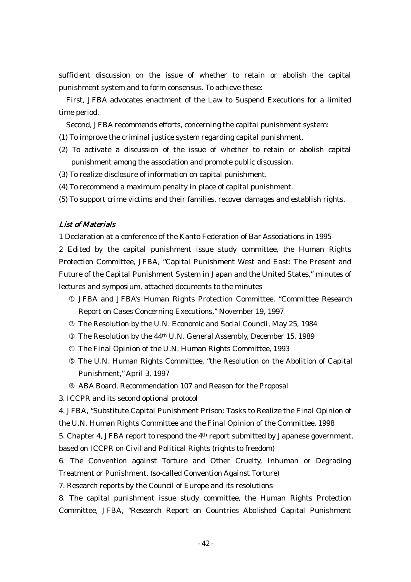sufficient discussion on the issue of whether to retain or abolish the capital punishment system and to form consensus. To achieve these:

First, JFBA advocates enactment of the Law to Suspend Executions for a limited time period.

Second, JFBA recommends efforts, concerning the capital punishment system:

- (1) To improve the criminal justice system regarding capital punishment.
- (2) To activate a discussion of the issue of whether to retain or abolish capital punishment among the association and promote public discussion.
- (3) To realize disclosure of information on capital punishment.
- (4) To recommend a maximum penalty in place of capital punishment.
- (5) To support crime victims and their families, recover damages and establish rights.

## List of Materials

1 Declaration at a conference of the Kanto Federation of Bar Associations in 1995

2 Edited by the capital punishment issue study committee, the Human Rights Protection Committee, JFBA, "Capital Punishment West and East: The Present and Future of the Capital Punishment System in Japan and the United States," minutes of lectures and symposium, attached documents to the minutes

- 1 JFBA and JFBA's Human Rights Protection Committee, "Committee Research Report on Cases Concerning Executions," November 19, 1997
- 2 The Resolution by the U.N. Economic and Social Council, May 25, 1984
- 3 The Resolution by the 44th U.N. General Assembly, December 15, 1989
- 4 The Final Opinion of the U.N. Human Rights Committee, 1993
- 5 The U.N. Human Rights Committee, "the Resolution on the Abolition of Capital Punishment," April 3, 1997
- 6 ABA Board, Recommendation 107 and Reason for the Proposal
- 3. ICCPR and its second optional protocol
- 4. JFBA, "Substitute Capital Punishment Prison: Tasks to Realize the Final Opinion of the U.N. Human Rights Committee and the Final Opinion of the Committee, 1998

5. Chapter 4, JFBA report to respond the 4th report submitted by Japanese government, based on ICCPR on Civil and Political Rights (rights to freedom)

6. The Convention against Torture and Other Cruelty, Inhuman or Degrading Treatment or Punishment, (so-called Convention Against Torture)

7. Research reports by the Council of Europe and its resolutions

8. The capital punishment issue study committee, the Human Rights Protection Committee, JFBA, "Research Report on Countries Abolished Capital Punishment